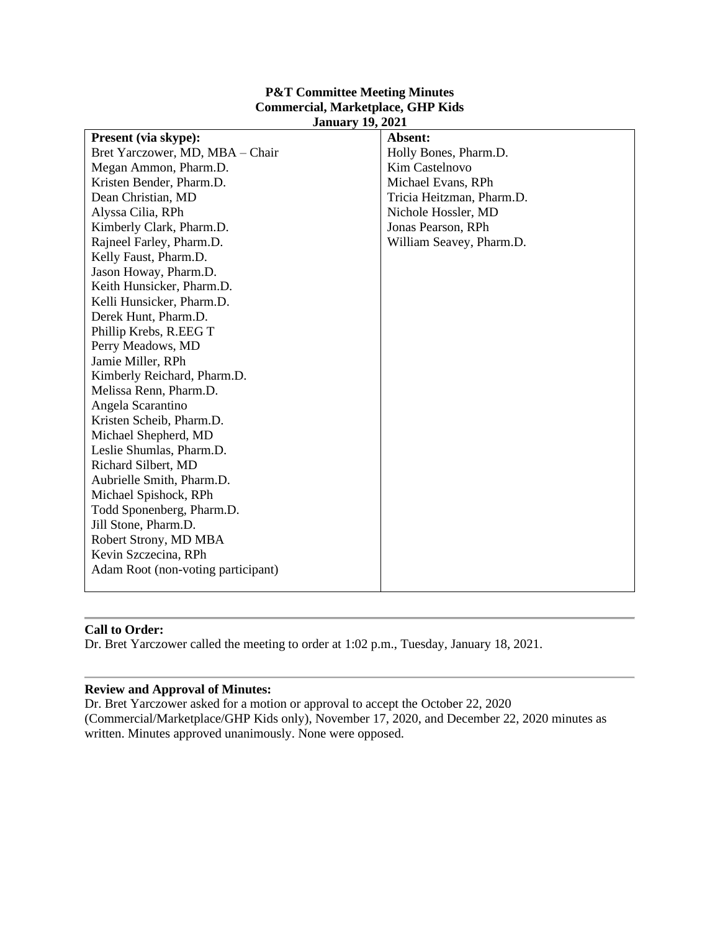### **P&T Committee Meeting Minutes Commercial, Marketplace, GHP Kids January 19, 2021**

| <b>Present (via skype):</b>        | Absent:                   |  |  |  |  |
|------------------------------------|---------------------------|--|--|--|--|
| Bret Yarczower, MD, MBA - Chair    | Holly Bones, Pharm.D.     |  |  |  |  |
| Megan Ammon, Pharm.D.              | Kim Castelnovo            |  |  |  |  |
| Kristen Bender, Pharm.D.           | Michael Evans, RPh        |  |  |  |  |
| Dean Christian, MD                 | Tricia Heitzman, Pharm.D. |  |  |  |  |
| Alyssa Cilia, RPh                  | Nichole Hossler, MD       |  |  |  |  |
| Kimberly Clark, Pharm.D.           | Jonas Pearson, RPh        |  |  |  |  |
| Rajneel Farley, Pharm.D.           | William Seavey, Pharm.D.  |  |  |  |  |
| Kelly Faust, Pharm.D.              |                           |  |  |  |  |
| Jason Howay, Pharm.D.              |                           |  |  |  |  |
| Keith Hunsicker, Pharm.D.          |                           |  |  |  |  |
| Kelli Hunsicker, Pharm.D.          |                           |  |  |  |  |
| Derek Hunt, Pharm.D.               |                           |  |  |  |  |
| Phillip Krebs, R.EEG T             |                           |  |  |  |  |
| Perry Meadows, MD                  |                           |  |  |  |  |
| Jamie Miller, RPh                  |                           |  |  |  |  |
| Kimberly Reichard, Pharm.D.        |                           |  |  |  |  |
| Melissa Renn, Pharm.D.             |                           |  |  |  |  |
| Angela Scarantino                  |                           |  |  |  |  |
| Kristen Scheib, Pharm.D.           |                           |  |  |  |  |
| Michael Shepherd, MD               |                           |  |  |  |  |
| Leslie Shumlas, Pharm.D.           |                           |  |  |  |  |
| Richard Silbert, MD                |                           |  |  |  |  |
| Aubrielle Smith, Pharm.D.          |                           |  |  |  |  |
| Michael Spishock, RPh              |                           |  |  |  |  |
| Todd Sponenberg, Pharm.D.          |                           |  |  |  |  |
| Jill Stone, Pharm.D.               |                           |  |  |  |  |
| Robert Strony, MD MBA              |                           |  |  |  |  |
| Kevin Szczecina, RPh               |                           |  |  |  |  |
| Adam Root (non-voting participant) |                           |  |  |  |  |
|                                    |                           |  |  |  |  |

### **Call to Order:**

Dr. Bret Yarczower called the meeting to order at 1:02 p.m., Tuesday, January 18, 2021.

### **Review and Approval of Minutes:**

Dr. Bret Yarczower asked for a motion or approval to accept the October 22, 2020 (Commercial/Marketplace/GHP Kids only), November 17, 2020, and December 22, 2020 minutes as written. Minutes approved unanimously. None were opposed.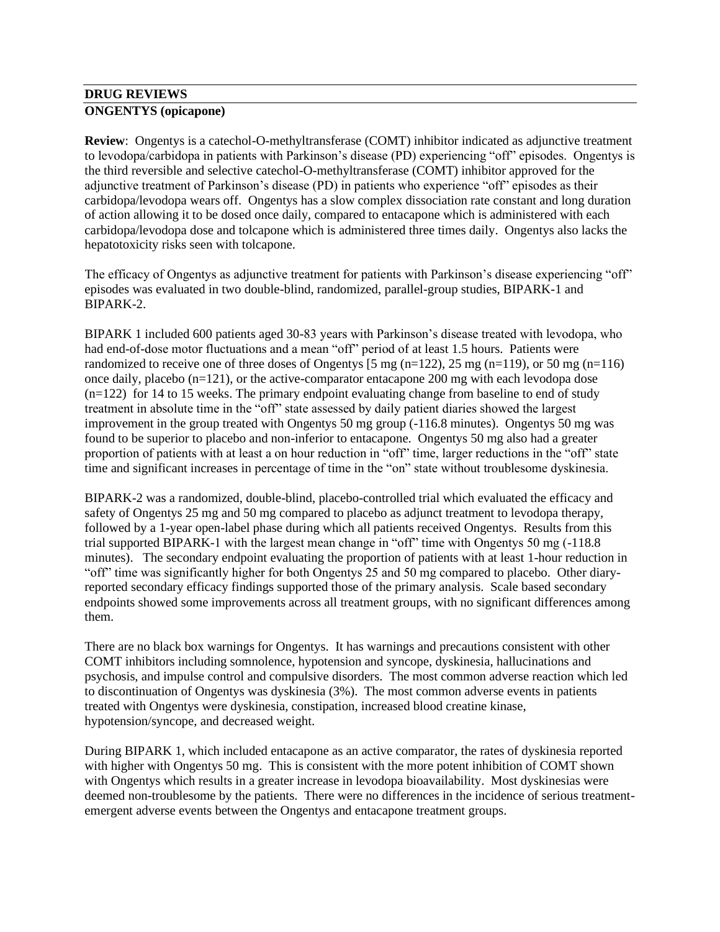# **DRUG REVIEWS ONGENTYS (opicapone)**

**Review**: Ongentys is a catechol-O-methyltransferase (COMT) inhibitor indicated as adjunctive treatment to levodopa/carbidopa in patients with Parkinson's disease (PD) experiencing "off" episodes. Ongentys is the third reversible and selective catechol-O-methyltransferase (COMT) inhibitor approved for the adjunctive treatment of Parkinson's disease (PD) in patients who experience "off" episodes as their carbidopa/levodopa wears off. Ongentys has a slow complex dissociation rate constant and long duration of action allowing it to be dosed once daily, compared to entacapone which is administered with each carbidopa/levodopa dose and tolcapone which is administered three times daily. Ongentys also lacks the hepatotoxicity risks seen with tolcapone.

The efficacy of Ongentys as adjunctive treatment for patients with Parkinson's disease experiencing "off" episodes was evaluated in two double-blind, randomized, parallel-group studies, BIPARK-1 and BIPARK-2.

BIPARK 1 included 600 patients aged 30-83 years with Parkinson's disease treated with levodopa, who had end-of-dose motor fluctuations and a mean "off" period of at least 1.5 hours. Patients were randomized to receive one of three doses of Ongentys  $[5 \text{ mg (n=122)}, 25 \text{ mg (n=119)}, \text{or } 50 \text{ mg (n=116)}]$ once daily, placebo (n=121), or the active-comparator entacapone 200 mg with each levodopa dose  $(n=122)$  for 14 to 15 weeks. The primary endpoint evaluating change from baseline to end of study treatment in absolute time in the "off" state assessed by daily patient diaries showed the largest improvement in the group treated with Ongentys 50 mg group (-116.8 minutes). Ongentys 50 mg was found to be superior to placebo and non-inferior to entacapone. Ongentys 50 mg also had a greater proportion of patients with at least a on hour reduction in "off" time, larger reductions in the "off" state time and significant increases in percentage of time in the "on" state without troublesome dyskinesia.

BIPARK-2 was a randomized, double-blind, placebo-controlled trial which evaluated the efficacy and safety of Ongentys 25 mg and 50 mg compared to placebo as adjunct treatment to levodopa therapy, followed by a 1-year open-label phase during which all patients received Ongentys. Results from this trial supported BIPARK-1 with the largest mean change in "off" time with Ongentys 50 mg (-118.8 minutes). The secondary endpoint evaluating the proportion of patients with at least 1-hour reduction in "off" time was significantly higher for both Ongentys 25 and 50 mg compared to placebo. Other diaryreported secondary efficacy findings supported those of the primary analysis. Scale based secondary endpoints showed some improvements across all treatment groups, with no significant differences among them.

There are no black box warnings for Ongentys. It has warnings and precautions consistent with other COMT inhibitors including somnolence, hypotension and syncope, dyskinesia, hallucinations and psychosis, and impulse control and compulsive disorders. The most common adverse reaction which led to discontinuation of Ongentys was dyskinesia (3%). The most common adverse events in patients treated with Ongentys were dyskinesia, constipation, increased blood creatine kinase, hypotension/syncope, and decreased weight.

During BIPARK 1, which included entacapone as an active comparator, the rates of dyskinesia reported with higher with Ongentys 50 mg. This is consistent with the more potent inhibition of COMT shown with Ongentys which results in a greater increase in levodopa bioavailability. Most dyskinesias were deemed non-troublesome by the patients. There were no differences in the incidence of serious treatmentemergent adverse events between the Ongentys and entacapone treatment groups.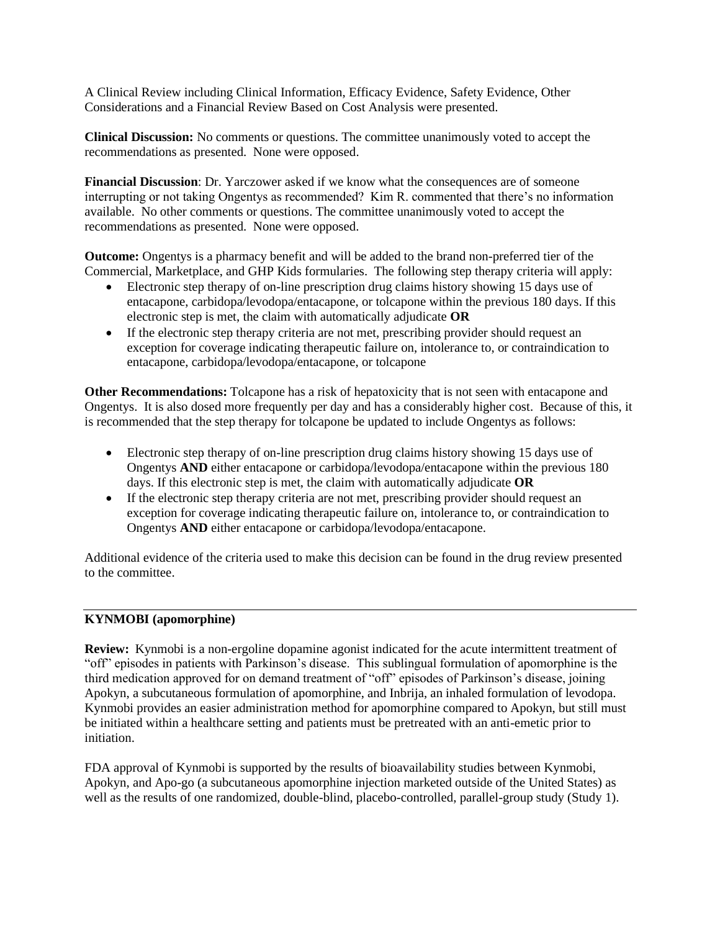A Clinical Review including Clinical Information, Efficacy Evidence, Safety Evidence, Other Considerations and a Financial Review Based on Cost Analysis were presented.

**Clinical Discussion:** No comments or questions. The committee unanimously voted to accept the recommendations as presented. None were opposed.

**Financial Discussion**: Dr. Yarczower asked if we know what the consequences are of someone interrupting or not taking Ongentys as recommended? Kim R. commented that there's no information available. No other comments or questions. The committee unanimously voted to accept the recommendations as presented. None were opposed.

**Outcome:** Ongentys is a pharmacy benefit and will be added to the brand non-preferred tier of the Commercial, Marketplace, and GHP Kids formularies. The following step therapy criteria will apply:

- Electronic step therapy of on-line prescription drug claims history showing 15 days use of entacapone, carbidopa/levodopa/entacapone, or tolcapone within the previous 180 days. If this electronic step is met, the claim with automatically adjudicate **OR**
- If the electronic step therapy criteria are not met, prescribing provider should request an exception for coverage indicating therapeutic failure on, intolerance to, or contraindication to entacapone, carbidopa/levodopa/entacapone, or tolcapone

**Other Recommendations:** Tolcapone has a risk of hepatoxicity that is not seen with entacapone and Ongentys. It is also dosed more frequently per day and has a considerably higher cost. Because of this, it is recommended that the step therapy for tolcapone be updated to include Ongentys as follows:

- Electronic step therapy of on-line prescription drug claims history showing 15 days use of Ongentys **AND** either entacapone or carbidopa/levodopa/entacapone within the previous 180 days. If this electronic step is met, the claim with automatically adjudicate **OR**
- If the electronic step therapy criteria are not met, prescribing provider should request an exception for coverage indicating therapeutic failure on, intolerance to, or contraindication to Ongentys **AND** either entacapone or carbidopa/levodopa/entacapone.

Additional evidence of the criteria used to make this decision can be found in the drug review presented to the committee.

### **KYNMOBI (apomorphine)**

**Review:** Kynmobi is a non-ergoline dopamine agonist indicated for the acute intermittent treatment of "off" episodes in patients with Parkinson's disease. This sublingual formulation of apomorphine is the third medication approved for on demand treatment of "off" episodes of Parkinson's disease, joining Apokyn, a subcutaneous formulation of apomorphine, and Inbrija, an inhaled formulation of levodopa. Kynmobi provides an easier administration method for apomorphine compared to Apokyn, but still must be initiated within a healthcare setting and patients must be pretreated with an anti-emetic prior to initiation.

FDA approval of Kynmobi is supported by the results of bioavailability studies between Kynmobi, Apokyn, and Apo-go (a subcutaneous apomorphine injection marketed outside of the United States) as well as the results of one randomized, double-blind, placebo-controlled, parallel-group study (Study 1).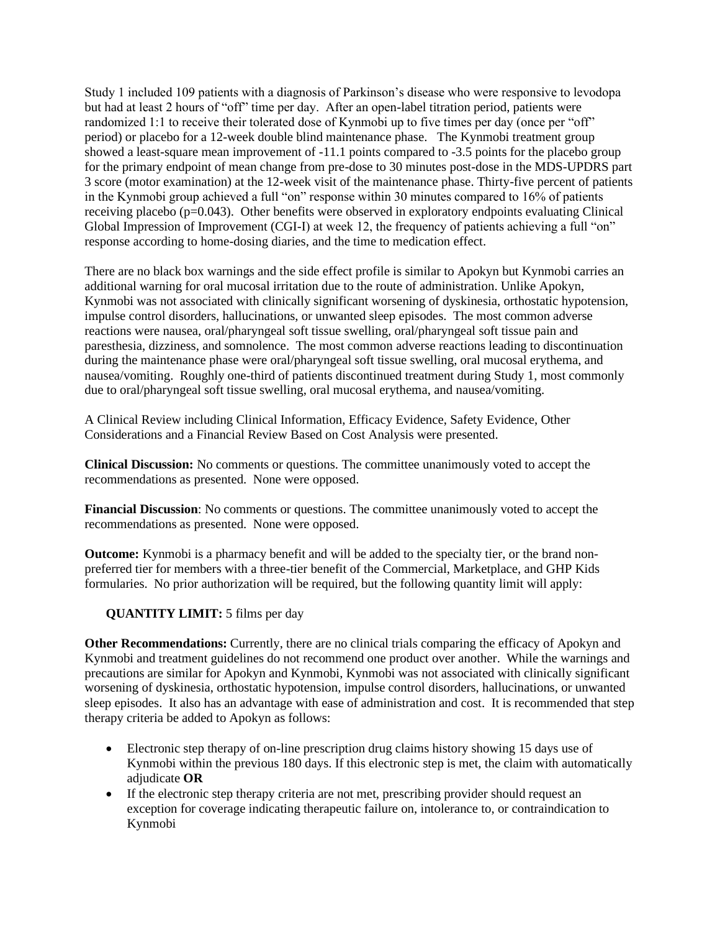Study 1 included 109 patients with a diagnosis of Parkinson's disease who were responsive to levodopa but had at least 2 hours of "off" time per day. After an open-label titration period, patients were randomized 1:1 to receive their tolerated dose of Kynmobi up to five times per day (once per "off" period) or placebo for a 12-week double blind maintenance phase. The Kynmobi treatment group showed a least-square mean improvement of -11.1 points compared to -3.5 points for the placebo group for the primary endpoint of mean change from pre-dose to 30 minutes post-dose in the MDS-UPDRS part 3 score (motor examination) at the 12-week visit of the maintenance phase. Thirty-five percent of patients in the Kynmobi group achieved a full "on" response within 30 minutes compared to 16% of patients receiving placebo (p=0.043). Other benefits were observed in exploratory endpoints evaluating Clinical Global Impression of Improvement (CGI-I) at week 12, the frequency of patients achieving a full "on" response according to home-dosing diaries, and the time to medication effect.

There are no black box warnings and the side effect profile is similar to Apokyn but Kynmobi carries an additional warning for oral mucosal irritation due to the route of administration. Unlike Apokyn, Kynmobi was not associated with clinically significant worsening of dyskinesia, orthostatic hypotension, impulse control disorders, hallucinations, or unwanted sleep episodes. The most common adverse reactions were nausea, oral/pharyngeal soft tissue swelling, oral/pharyngeal soft tissue pain and paresthesia, dizziness, and somnolence. The most common adverse reactions leading to discontinuation during the maintenance phase were oral/pharyngeal soft tissue swelling, oral mucosal erythema, and nausea/vomiting. Roughly one-third of patients discontinued treatment during Study 1, most commonly due to oral/pharyngeal soft tissue swelling, oral mucosal erythema, and nausea/vomiting.

A Clinical Review including Clinical Information, Efficacy Evidence, Safety Evidence, Other Considerations and a Financial Review Based on Cost Analysis were presented.

**Clinical Discussion:** No comments or questions. The committee unanimously voted to accept the recommendations as presented. None were opposed.

**Financial Discussion**: No comments or questions. The committee unanimously voted to accept the recommendations as presented. None were opposed.

**Outcome:** Kynmobi is a pharmacy benefit and will be added to the specialty tier, or the brand nonpreferred tier for members with a three-tier benefit of the Commercial, Marketplace, and GHP Kids formularies. No prior authorization will be required, but the following quantity limit will apply:

**QUANTITY LIMIT:** 5 films per day

**Other Recommendations:** Currently, there are no clinical trials comparing the efficacy of Apokyn and Kynmobi and treatment guidelines do not recommend one product over another. While the warnings and precautions are similar for Apokyn and Kynmobi, Kynmobi was not associated with clinically significant worsening of dyskinesia, orthostatic hypotension, impulse control disorders, hallucinations, or unwanted sleep episodes. It also has an advantage with ease of administration and cost. It is recommended that step therapy criteria be added to Apokyn as follows:

- Electronic step therapy of on-line prescription drug claims history showing 15 days use of Kynmobi within the previous 180 days. If this electronic step is met, the claim with automatically adjudicate **OR**
- If the electronic step therapy criteria are not met, prescribing provider should request an exception for coverage indicating therapeutic failure on, intolerance to, or contraindication to Kynmobi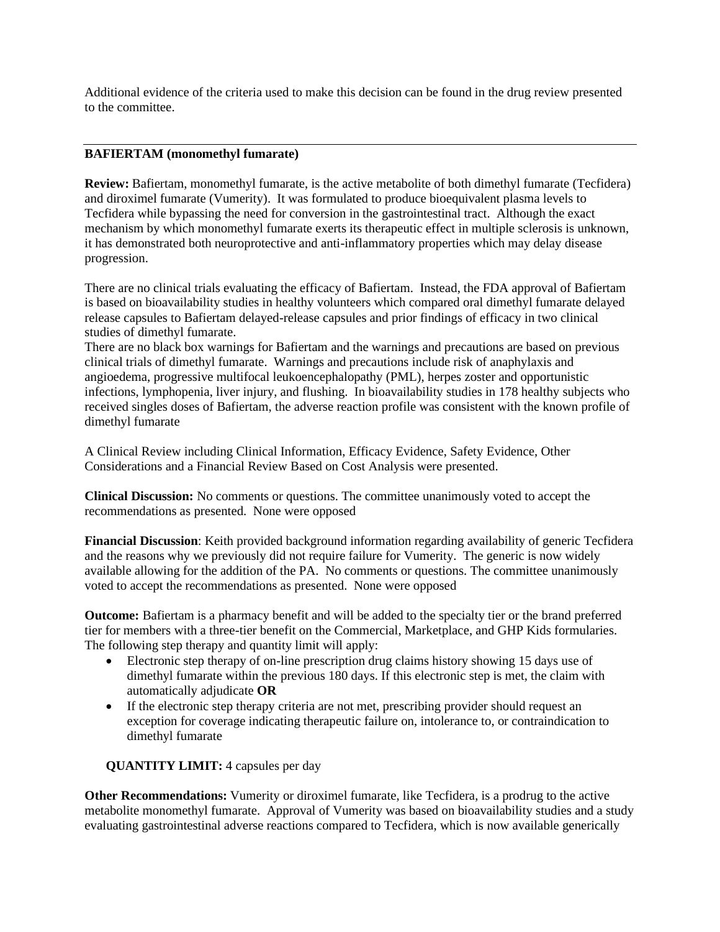Additional evidence of the criteria used to make this decision can be found in the drug review presented to the committee.

#### **BAFIERTAM (monomethyl fumarate)**

**Review:** Bafiertam, monomethyl fumarate, is the active metabolite of both dimethyl fumarate (Tecfidera) and diroximel fumarate (Vumerity). It was formulated to produce bioequivalent plasma levels to Tecfidera while bypassing the need for conversion in the gastrointestinal tract. Although the exact mechanism by which monomethyl fumarate exerts its therapeutic effect in multiple sclerosis is unknown, it has demonstrated both neuroprotective and anti-inflammatory properties which may delay disease progression.

There are no clinical trials evaluating the efficacy of Bafiertam. Instead, the FDA approval of Bafiertam is based on bioavailability studies in healthy volunteers which compared oral dimethyl fumarate delayed release capsules to Bafiertam delayed-release capsules and prior findings of efficacy in two clinical studies of dimethyl fumarate.

There are no black box warnings for Bafiertam and the warnings and precautions are based on previous clinical trials of dimethyl fumarate. Warnings and precautions include risk of anaphylaxis and angioedema, progressive multifocal leukoencephalopathy (PML), herpes zoster and opportunistic infections, lymphopenia, liver injury, and flushing. In bioavailability studies in 178 healthy subjects who received singles doses of Bafiertam, the adverse reaction profile was consistent with the known profile of dimethyl fumarate

A Clinical Review including Clinical Information, Efficacy Evidence, Safety Evidence, Other Considerations and a Financial Review Based on Cost Analysis were presented.

**Clinical Discussion:** No comments or questions. The committee unanimously voted to accept the recommendations as presented. None were opposed

**Financial Discussion**: Keith provided background information regarding availability of generic Tecfidera and the reasons why we previously did not require failure for Vumerity. The generic is now widely available allowing for the addition of the PA. No comments or questions. The committee unanimously voted to accept the recommendations as presented. None were opposed

**Outcome:** Bafiertam is a pharmacy benefit and will be added to the specialty tier or the brand preferred tier for members with a three-tier benefit on the Commercial, Marketplace, and GHP Kids formularies. The following step therapy and quantity limit will apply:

- Electronic step therapy of on-line prescription drug claims history showing 15 days use of dimethyl fumarate within the previous 180 days. If this electronic step is met, the claim with automatically adjudicate **OR**
- If the electronic step therapy criteria are not met, prescribing provider should request an exception for coverage indicating therapeutic failure on, intolerance to, or contraindication to dimethyl fumarate

### **QUANTITY LIMIT:** 4 capsules per day

**Other Recommendations:** Vumerity or diroximel fumarate, like Tecfidera, is a prodrug to the active metabolite monomethyl fumarate. Approval of Vumerity was based on bioavailability studies and a study evaluating gastrointestinal adverse reactions compared to Tecfidera, which is now available generically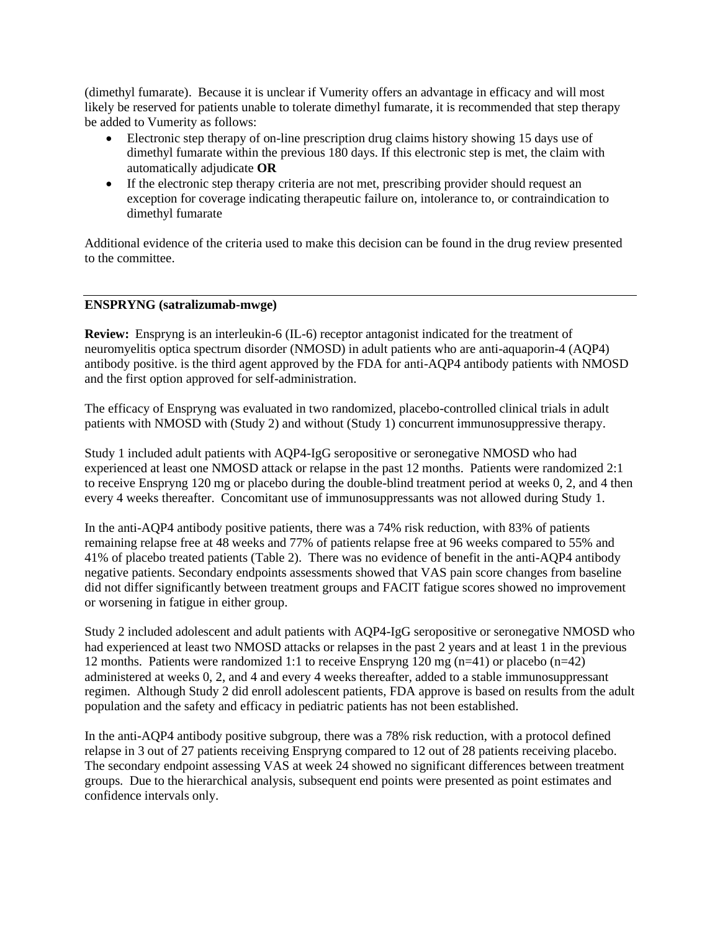(dimethyl fumarate). Because it is unclear if Vumerity offers an advantage in efficacy and will most likely be reserved for patients unable to tolerate dimethyl fumarate, it is recommended that step therapy be added to Vumerity as follows:

- Electronic step therapy of on-line prescription drug claims history showing 15 days use of dimethyl fumarate within the previous 180 days. If this electronic step is met, the claim with automatically adjudicate **OR**
- If the electronic step therapy criteria are not met, prescribing provider should request an exception for coverage indicating therapeutic failure on, intolerance to, or contraindication to dimethyl fumarate

Additional evidence of the criteria used to make this decision can be found in the drug review presented to the committee.

### **ENSPRYNG (satralizumab-mwge)**

**Review:** Enspryng is an interleukin-6 (IL-6) receptor antagonist indicated for the treatment of neuromyelitis optica spectrum disorder (NMOSD) in adult patients who are anti-aquaporin-4 (AQP4) antibody positive. is the third agent approved by the FDA for anti-AQP4 antibody patients with NMOSD and the first option approved for self-administration.

The efficacy of Enspryng was evaluated in two randomized, placebo-controlled clinical trials in adult patients with NMOSD with (Study 2) and without (Study 1) concurrent immunosuppressive therapy.

Study 1 included adult patients with AQP4-IgG seropositive or seronegative NMOSD who had experienced at least one NMOSD attack or relapse in the past 12 months. Patients were randomized 2:1 to receive Enspryng 120 mg or placebo during the double-blind treatment period at weeks 0, 2, and 4 then every 4 weeks thereafter. Concomitant use of immunosuppressants was not allowed during Study 1.

In the anti-AQP4 antibody positive patients, there was a 74% risk reduction, with 83% of patients remaining relapse free at 48 weeks and 77% of patients relapse free at 96 weeks compared to 55% and 41% of placebo treated patients (Table 2). There was no evidence of benefit in the anti-AQP4 antibody negative patients. Secondary endpoints assessments showed that VAS pain score changes from baseline did not differ significantly between treatment groups and FACIT fatigue scores showed no improvement or worsening in fatigue in either group.

Study 2 included adolescent and adult patients with AQP4-IgG seropositive or seronegative NMOSD who had experienced at least two NMOSD attacks or relapses in the past 2 years and at least 1 in the previous 12 months. Patients were randomized 1:1 to receive Enspryng 120 mg (n=41) or placebo (n=42) administered at weeks 0, 2, and 4 and every 4 weeks thereafter, added to a stable immunosuppressant regimen. Although Study 2 did enroll adolescent patients, FDA approve is based on results from the adult population and the safety and efficacy in pediatric patients has not been established.

In the anti-AQP4 antibody positive subgroup, there was a 78% risk reduction, with a protocol defined relapse in 3 out of 27 patients receiving Enspryng compared to 12 out of 28 patients receiving placebo. The secondary endpoint assessing VAS at week 24 showed no significant differences between treatment groups. Due to the hierarchical analysis, subsequent end points were presented as point estimates and confidence intervals only.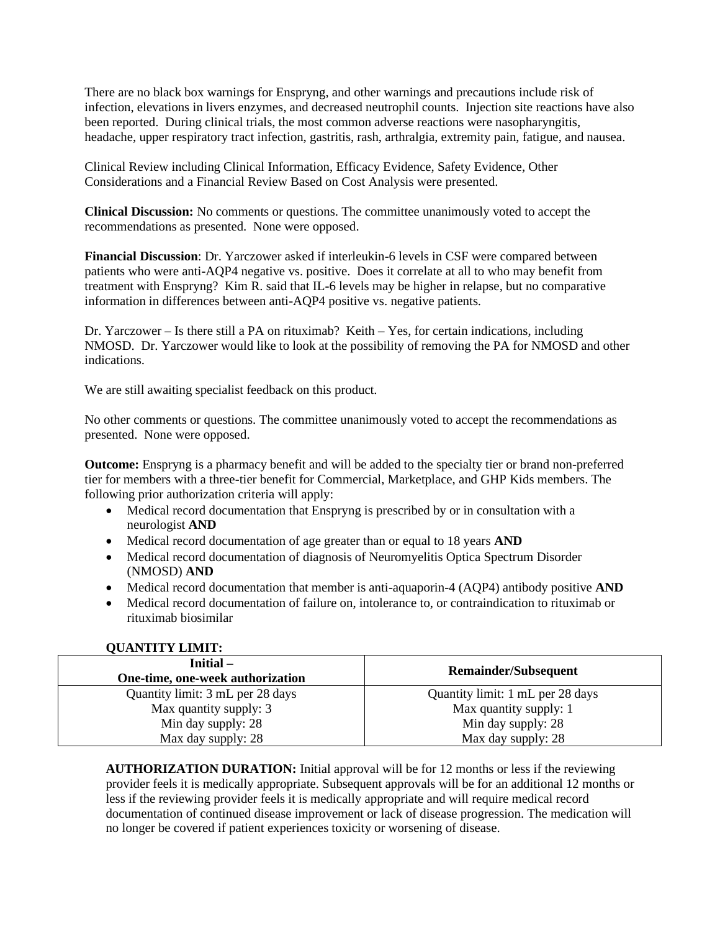There are no black box warnings for Enspryng, and other warnings and precautions include risk of infection, elevations in livers enzymes, and decreased neutrophil counts. Injection site reactions have also been reported. During clinical trials, the most common adverse reactions were nasopharyngitis, headache, upper respiratory tract infection, gastritis, rash, arthralgia, extremity pain, fatigue, and nausea.

Clinical Review including Clinical Information, Efficacy Evidence, Safety Evidence, Other Considerations and a Financial Review Based on Cost Analysis were presented.

**Clinical Discussion:** No comments or questions. The committee unanimously voted to accept the recommendations as presented. None were opposed.

**Financial Discussion**: Dr. Yarczower asked if interleukin-6 levels in CSF were compared between patients who were anti-AQP4 negative vs. positive. Does it correlate at all to who may benefit from treatment with Enspryng? Kim R. said that IL-6 levels may be higher in relapse, but no comparative information in differences between anti-AQP4 positive vs. negative patients.

Dr. Yarczower – Is there still a PA on rituximab? Keith – Yes, for certain indications, including NMOSD. Dr. Yarczower would like to look at the possibility of removing the PA for NMOSD and other indications.

We are still awaiting specialist feedback on this product.

No other comments or questions. The committee unanimously voted to accept the recommendations as presented. None were opposed.

**Outcome:** Enspryng is a pharmacy benefit and will be added to the specialty tier or brand non-preferred tier for members with a three-tier benefit for Commercial, Marketplace, and GHP Kids members. The following prior authorization criteria will apply:

- Medical record documentation that Enspryng is prescribed by or in consultation with a neurologist **AND**
- Medical record documentation of age greater than or equal to 18 years **AND**
- Medical record documentation of diagnosis of Neuromyelitis Optica Spectrum Disorder (NMOSD) **AND**
- Medical record documentation that member is anti-aquaporin-4 (AQP4) antibody positive **AND**
- Medical record documentation of failure on, intolerance to, or contraindication to rituximab or rituximab biosimilar

| $Initial -$<br>One-time, one-week authorization | <b>Remainder/Subsequent</b>      |  |  |
|-------------------------------------------------|----------------------------------|--|--|
| Quantity limit: 3 mL per 28 days                | Quantity limit: 1 mL per 28 days |  |  |
| Max quantity supply: 3                          | Max quantity supply: 1           |  |  |
| Min day supply: 28                              | Min day supply: 28               |  |  |
| Max day supply: 28                              | Max day supply: 28               |  |  |

# **QUANTITY LIMIT:**

**AUTHORIZATION DURATION:** Initial approval will be for 12 months or less if the reviewing provider feels it is medically appropriate. Subsequent approvals will be for an additional 12 months or less if the reviewing provider feels it is medically appropriate and will require medical record documentation of continued disease improvement or lack of disease progression. The medication will no longer be covered if patient experiences toxicity or worsening of disease.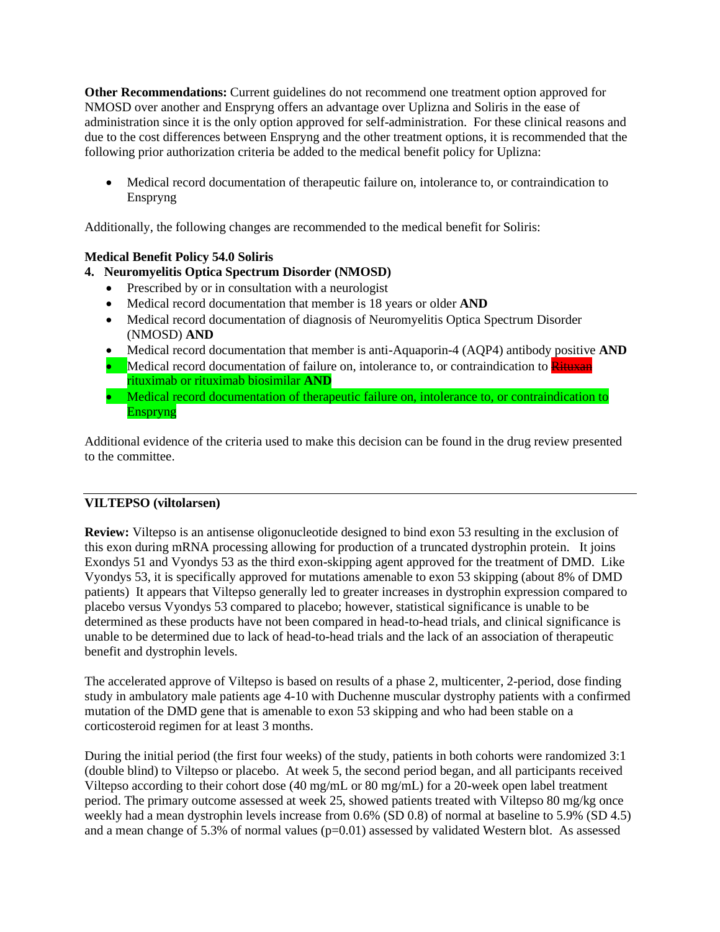**Other Recommendations:** Current guidelines do not recommend one treatment option approved for NMOSD over another and Enspryng offers an advantage over Uplizna and Soliris in the ease of administration since it is the only option approved for self-administration. For these clinical reasons and due to the cost differences between Enspryng and the other treatment options, it is recommended that the following prior authorization criteria be added to the medical benefit policy for Uplizna:

• Medical record documentation of therapeutic failure on, intolerance to, or contraindication to Enspryng

Additionally, the following changes are recommended to the medical benefit for Soliris:

### **Medical Benefit Policy 54.0 Soliris**

# **4. Neuromyelitis Optica Spectrum Disorder (NMOSD)**

- Prescribed by or in consultation with a neurologist
- Medical record documentation that member is 18 years or older **AND**
- Medical record documentation of diagnosis of Neuromyelitis Optica Spectrum Disorder (NMOSD) **AND**
- Medical record documentation that member is anti-Aquaporin-4 (AQP4) antibody positive **AND**
- Medical record documentation of failure on, intolerance to, or contraindication to **Rituxan** rituximab or rituximab biosimilar **AND**
- Medical record documentation of therapeutic failure on, intolerance to, or contraindication to Enspryng

Additional evidence of the criteria used to make this decision can be found in the drug review presented to the committee.

### **VILTEPSO (viltolarsen)**

**Review:** Viltepso is an antisense oligonucleotide designed to bind exon 53 resulting in the exclusion of this exon during mRNA processing allowing for production of a truncated dystrophin protein. It joins Exondys 51 and Vyondys 53 as the third exon-skipping agent approved for the treatment of DMD. Like Vyondys 53, it is specifically approved for mutations amenable to exon 53 skipping (about 8% of DMD patients) It appears that Viltepso generally led to greater increases in dystrophin expression compared to placebo versus Vyondys 53 compared to placebo; however, statistical significance is unable to be determined as these products have not been compared in head-to-head trials, and clinical significance is unable to be determined due to lack of head-to-head trials and the lack of an association of therapeutic benefit and dystrophin levels.

The accelerated approve of Viltepso is based on results of a phase 2, multicenter, 2-period, dose finding study in ambulatory male patients age 4-10 with Duchenne muscular dystrophy patients with a confirmed mutation of the DMD gene that is amenable to exon 53 skipping and who had been stable on a corticosteroid regimen for at least 3 months.

During the initial period (the first four weeks) of the study, patients in both cohorts were randomized 3:1 (double blind) to Viltepso or placebo. At week 5, the second period began, and all participants received Viltepso according to their cohort dose (40 mg/mL or 80 mg/mL) for a 20-week open label treatment period. The primary outcome assessed at week 25, showed patients treated with Viltepso 80 mg/kg once weekly had a mean dystrophin levels increase from 0.6% (SD 0.8) of normal at baseline to 5.9% (SD 4.5) and a mean change of 5.3% of normal values ( $p=0.01$ ) assessed by validated Western blot. As assessed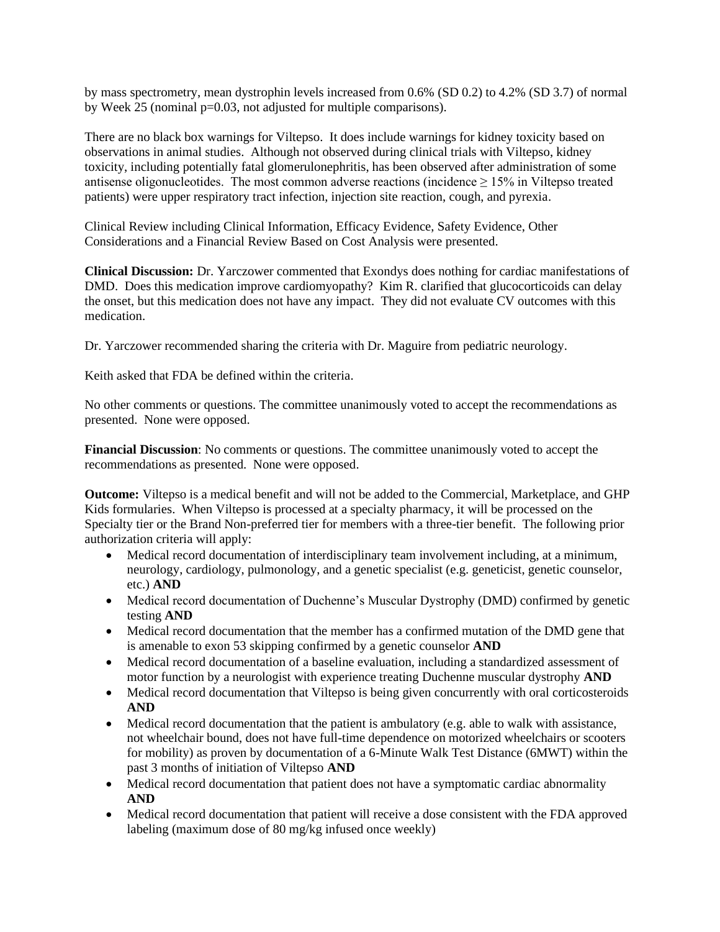by mass spectrometry, mean dystrophin levels increased from 0.6% (SD 0.2) to 4.2% (SD 3.7) of normal by Week 25 (nominal p=0.03, not adjusted for multiple comparisons).

There are no black box warnings for Viltepso. It does include warnings for kidney toxicity based on observations in animal studies. Although not observed during clinical trials with Viltepso, kidney toxicity, including potentially fatal glomerulonephritis, has been observed after administration of some antisense oligonucleotides. The most common adverse reactions (incidence  $\geq 15\%$  in Viltepso treated patients) were upper respiratory tract infection, injection site reaction, cough, and pyrexia.

Clinical Review including Clinical Information, Efficacy Evidence, Safety Evidence, Other Considerations and a Financial Review Based on Cost Analysis were presented.

**Clinical Discussion:** Dr. Yarczower commented that Exondys does nothing for cardiac manifestations of DMD. Does this medication improve cardiomyopathy? Kim R. clarified that glucocorticoids can delay the onset, but this medication does not have any impact. They did not evaluate CV outcomes with this medication.

Dr. Yarczower recommended sharing the criteria with Dr. Maguire from pediatric neurology.

Keith asked that FDA be defined within the criteria.

No other comments or questions. The committee unanimously voted to accept the recommendations as presented. None were opposed.

**Financial Discussion**: No comments or questions. The committee unanimously voted to accept the recommendations as presented. None were opposed.

**Outcome:** Viltepso is a medical benefit and will not be added to the Commercial, Marketplace, and GHP Kids formularies. When Viltepso is processed at a specialty pharmacy, it will be processed on the Specialty tier or the Brand Non-preferred tier for members with a three-tier benefit. The following prior authorization criteria will apply:

- Medical record documentation of interdisciplinary team involvement including, at a minimum, neurology, cardiology, pulmonology, and a genetic specialist (e.g. geneticist, genetic counselor, etc.) **AND**
- Medical record documentation of Duchenne's Muscular Dystrophy (DMD) confirmed by genetic testing **AND**
- Medical record documentation that the member has a confirmed mutation of the DMD gene that is amenable to exon 53 skipping confirmed by a genetic counselor **AND**
- Medical record documentation of a baseline evaluation, including a standardized assessment of motor function by a neurologist with experience treating Duchenne muscular dystrophy **AND**
- Medical record documentation that Viltepso is being given concurrently with oral corticosteroids **AND**
- Medical record documentation that the patient is ambulatory (e.g. able to walk with assistance, not wheelchair bound, does not have full-time dependence on motorized wheelchairs or scooters for mobility) as proven by documentation of a 6-Minute Walk Test Distance (6MWT) within the past 3 months of initiation of Viltepso **AND**
- Medical record documentation that patient does not have a symptomatic cardiac abnormality **AND**
- Medical record documentation that patient will receive a dose consistent with the FDA approved labeling (maximum dose of 80 mg/kg infused once weekly)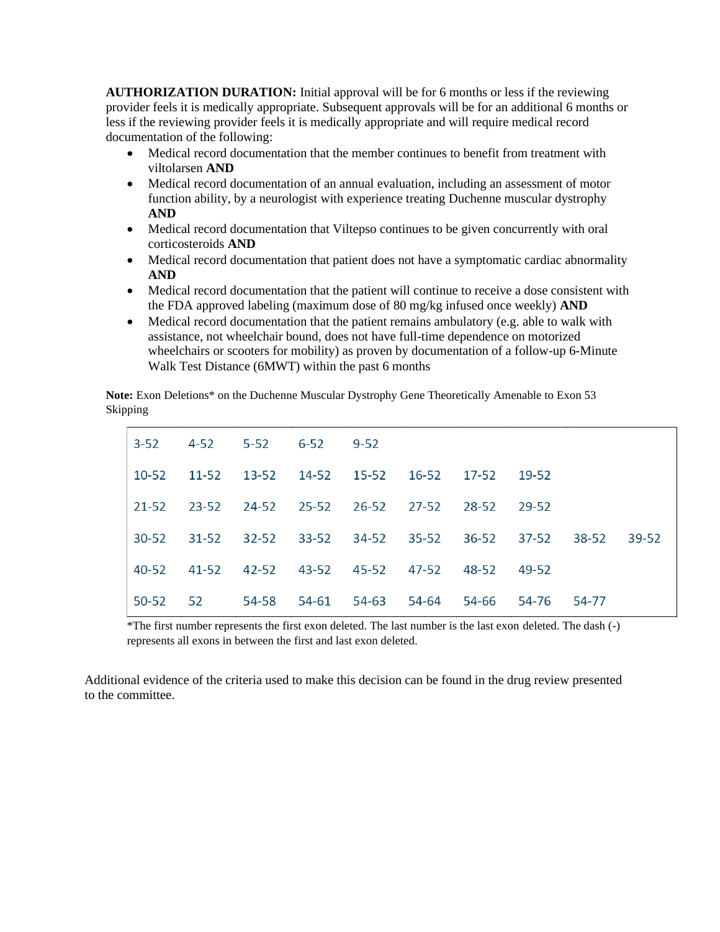**AUTHORIZATION DURATION:** Initial approval will be for 6 months or less if the reviewing provider feels it is medically appropriate. Subsequent approvals will be for an additional 6 months or less if the reviewing provider feels it is medically appropriate and will require medical record documentation of the following:

- Medical record documentation that the member continues to benefit from treatment with viltolarsen **AND**
- Medical record documentation of an annual evaluation, including an assessment of motor function ability, by a neurologist with experience treating Duchenne muscular dystrophy **AND**
- Medical record documentation that Viltepso continues to be given concurrently with oral corticosteroids **AND**
- Medical record documentation that patient does not have a symptomatic cardiac abnormality **AND**
- Medical record documentation that the patient will continue to receive a dose consistent with the FDA approved labeling (maximum dose of 80 mg/kg infused once weekly) **AND**
- Medical record documentation that the patient remains ambulatory (e.g. able to walk with assistance, not wheelchair bound, does not have full-time dependence on motorized wheelchairs or scooters for mobility) as proven by documentation of a follow-up 6-Minute Walk Test Distance (6MWT) within the past 6 months

**Note:** Exon Deletions\* on the Duchenne Muscular Dystrophy Gene Theoretically Amenable to Exon 53 Skipping

| $3 - 52$  | 4-52      | $5 - 52$  | $6 - 52$    | $9-52$      |       |             |       |       |       |
|-----------|-----------|-----------|-------------|-------------|-------|-------------|-------|-------|-------|
| 10-52     | $11 - 52$ | 13-52     |             | 14-52 15-52 | 16-52 | 17-52 19-52 |       |       |       |
| 21-52     | 23-52     | 24-52     |             | 25-52 26-52 | 27-52 | 28-52       | 29-52 |       |       |
| $30 - 52$ | $31 - 52$ | $32 - 52$ | $33 - 52$   | 34-52       | 35-52 | 36-52       | 37-52 | 38-52 | 39-52 |
| 40-52     | 41-52     | 42-52     | 43-52 45-52 |             | 47-52 | 48-52       | 49-52 |       |       |
| $50 - 52$ | 52        | 54-58     | 54-61       | 54-63       | 54-64 | 54-66       | 54-76 | 54-77 |       |

\*The first number represents the first exon deleted. The last number is the last exon deleted. The dash (-) represents all exons in between the first and last exon deleted.

Additional evidence of the criteria used to make this decision can be found in the drug review presented to the committee.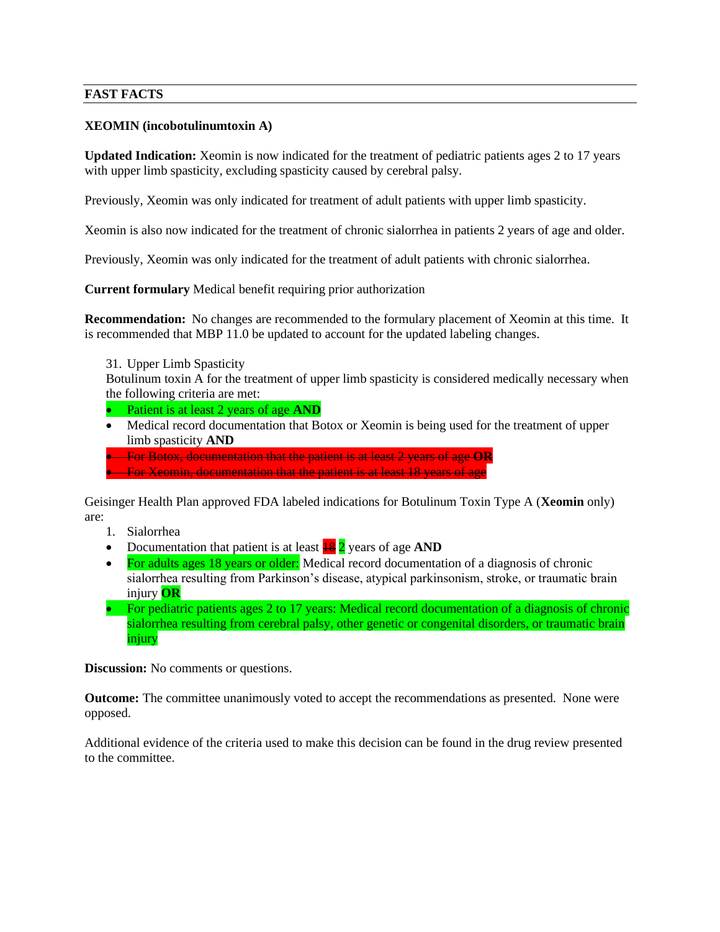### **FAST FACTS**

#### **XEOMIN (incobotulinumtoxin A)**

**Updated Indication:** Xeomin is now indicated for the treatment of pediatric patients ages 2 to 17 years with upper limb spasticity, excluding spasticity caused by cerebral palsy.

Previously, Xeomin was only indicated for treatment of adult patients with upper limb spasticity.

Xeomin is also now indicated for the treatment of chronic sialorrhea in patients 2 years of age and older.

Previously, Xeomin was only indicated for the treatment of adult patients with chronic sialorrhea.

**Current formulary** Medical benefit requiring prior authorization

**Recommendation:** No changes are recommended to the formulary placement of Xeomin at this time. It is recommended that MBP 11.0 be updated to account for the updated labeling changes.

31. Upper Limb Spasticity

Botulinum toxin A for the treatment of upper limb spasticity is considered medically necessary when the following criteria are met:

• Patient is at least 2 years of age **AND**

• Medical record documentation that Botox or Xeomin is being used for the treatment of upper limb spasticity **AND**

• For Botox, documentation that the patient is at least 2 years of age **OR** • For Xeomin, documentation that the patient is at least 18 years of age

Geisinger Health Plan approved FDA labeled indications for Botulinum Toxin Type A (**Xeomin** only) are:

- 1. Sialorrhea
- Documentation that patient is at least  $\frac{18}{2}$  years of age **AND**
- For adults ages 18 years or older: Medical record documentation of a diagnosis of chronic sialorrhea resulting from Parkinson's disease, atypical parkinsonism, stroke, or traumatic brain injury **OR**
- For pediatric patients ages 2 to 17 years: Medical record documentation of a diagnosis of chronic sialorrhea resulting from cerebral palsy, other genetic or congenital disorders, or traumatic brain injury

**Discussion:** No comments or questions.

**Outcome:** The committee unanimously voted to accept the recommendations as presented. None were opposed.

Additional evidence of the criteria used to make this decision can be found in the drug review presented to the committee.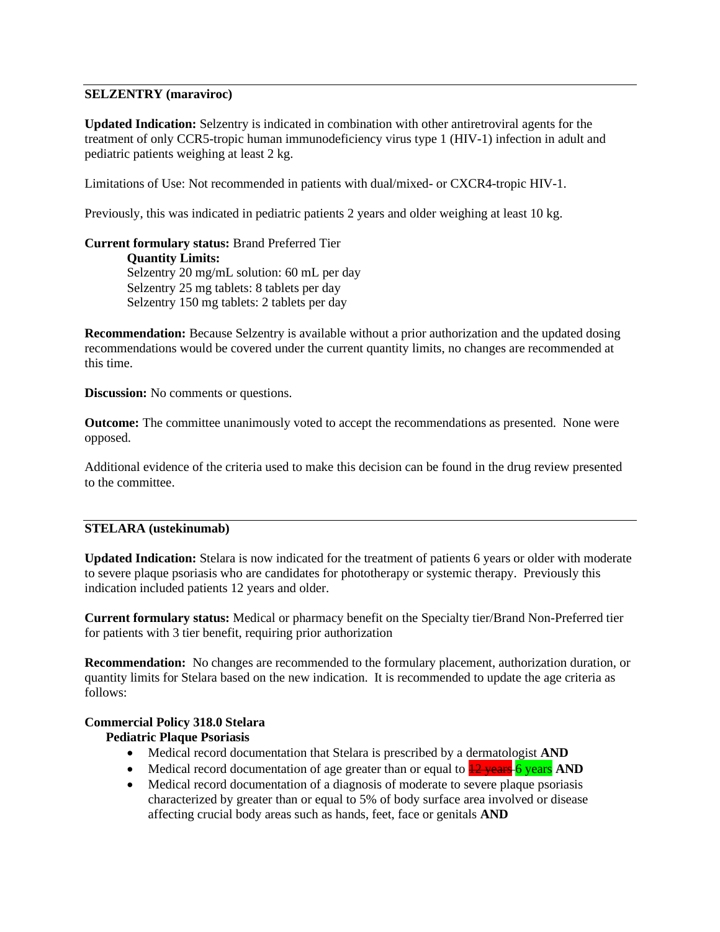### **SELZENTRY (maraviroc)**

**Updated Indication:** Selzentry is indicated in combination with other antiretroviral agents for the treatment of only CCR5-tropic human immunodeficiency virus type 1 (HIV-1) infection in adult and pediatric patients weighing at least 2 kg.

Limitations of Use: Not recommended in patients with dual/mixed- or CXCR4-tropic HIV-1.

Previously, this was indicated in pediatric patients 2 years and older weighing at least 10 kg.

**Current formulary status:** Brand Preferred Tier **Quantity Limits:** Selzentry 20 mg/mL solution: 60 mL per day Selzentry 25 mg tablets: 8 tablets per day Selzentry 150 mg tablets: 2 tablets per day

**Recommendation:** Because Selzentry is available without a prior authorization and the updated dosing recommendations would be covered under the current quantity limits, no changes are recommended at this time.

**Discussion:** No comments or questions.

**Outcome:** The committee unanimously voted to accept the recommendations as presented. None were opposed.

Additional evidence of the criteria used to make this decision can be found in the drug review presented to the committee.

### **STELARA (ustekinumab)**

**Updated Indication:** Stelara is now indicated for the treatment of patients 6 years or older with moderate to severe plaque psoriasis who are candidates for phototherapy or systemic therapy. Previously this indication included patients 12 years and older.

**Current formulary status:** Medical or pharmacy benefit on the Specialty tier/Brand Non-Preferred tier for patients with 3 tier benefit, requiring prior authorization

**Recommendation:** No changes are recommended to the formulary placement, authorization duration, or quantity limits for Stelara based on the new indication. It is recommended to update the age criteria as follows:

### **Commercial Policy 318.0 Stelara**

### **Pediatric Plaque Psoriasis**

- Medical record documentation that Stelara is prescribed by a dermatologist **AND**
- Medical record documentation of age greater than or equal to  $\frac{12 \text{ years}}{12 \text{ years}}$  **AND**
- Medical record documentation of a diagnosis of moderate to severe plaque psoriasis characterized by greater than or equal to 5% of body surface area involved or disease affecting crucial body areas such as hands, feet, face or genitals **AND**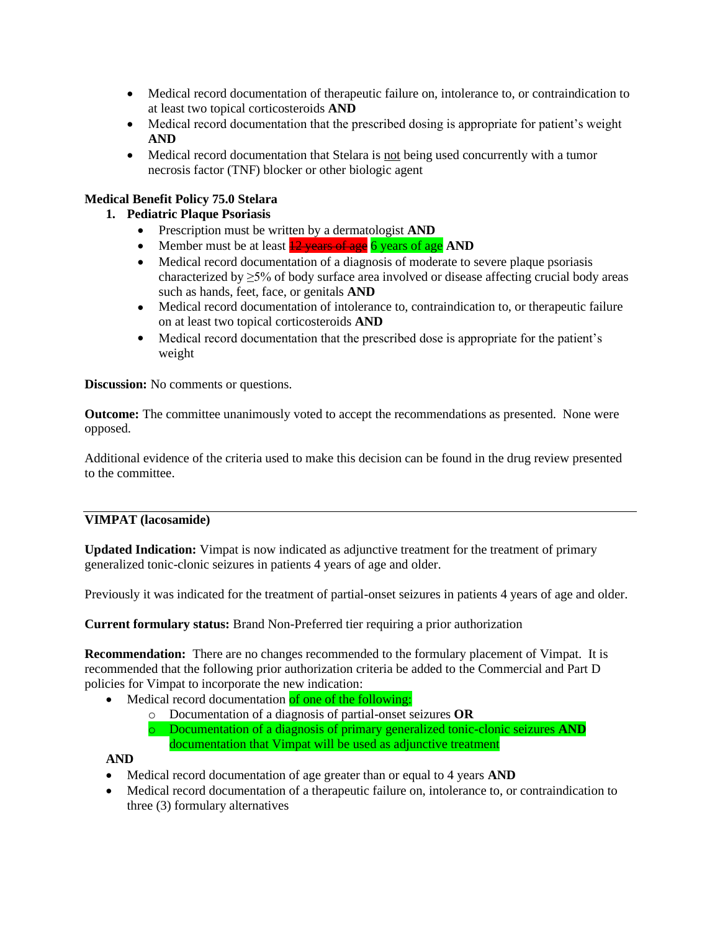- Medical record documentation of therapeutic failure on, intolerance to, or contraindication to at least two topical corticosteroids **AND**
- Medical record documentation that the prescribed dosing is appropriate for patient's weight **AND**
- Medical record documentation that Stelara is not being used concurrently with a tumor necrosis factor (TNF) blocker or other biologic agent

# **Medical Benefit Policy 75.0 Stelara**

# **1. Pediatric Plaque Psoriasis**

- Prescription must be written by a dermatologist **AND**
- Member must be at least **12 years of age** 6 years of age **AND**
- Medical record documentation of a diagnosis of moderate to severe plaque psoriasis characterized by ≥5% of body surface area involved or disease affecting crucial body areas such as hands, feet, face, or genitals **AND**
- Medical record documentation of intolerance to, contraindication to, or therapeutic failure on at least two topical corticosteroids **AND**
- Medical record documentation that the prescribed dose is appropriate for the patient's weight

**Discussion:** No comments or questions.

**Outcome:** The committee unanimously voted to accept the recommendations as presented. None were opposed.

Additional evidence of the criteria used to make this decision can be found in the drug review presented to the committee.

### **VIMPAT (lacosamide)**

**Updated Indication:** Vimpat is now indicated as adjunctive treatment for the treatment of primary generalized tonic-clonic seizures in patients 4 years of age and older.

Previously it was indicated for the treatment of partial-onset seizures in patients 4 years of age and older.

**Current formulary status:** Brand Non-Preferred tier requiring a prior authorization

**Recommendation:** There are no changes recommended to the formulary placement of Vimpat. It is recommended that the following prior authorization criteria be added to the Commercial and Part D policies for Vimpat to incorporate the new indication:

- Medical record documentation of one of the following:
	- o Documentation of a diagnosis of partial-onset seizures **OR**
	- o Documentation of a diagnosis of primary generalized tonic-clonic seizures **AND** documentation that Vimpat will be used as adjunctive treatment

### **AND**

- Medical record documentation of age greater than or equal to 4 years **AND**
- Medical record documentation of a therapeutic failure on, intolerance to, or contraindication to three (3) formulary alternatives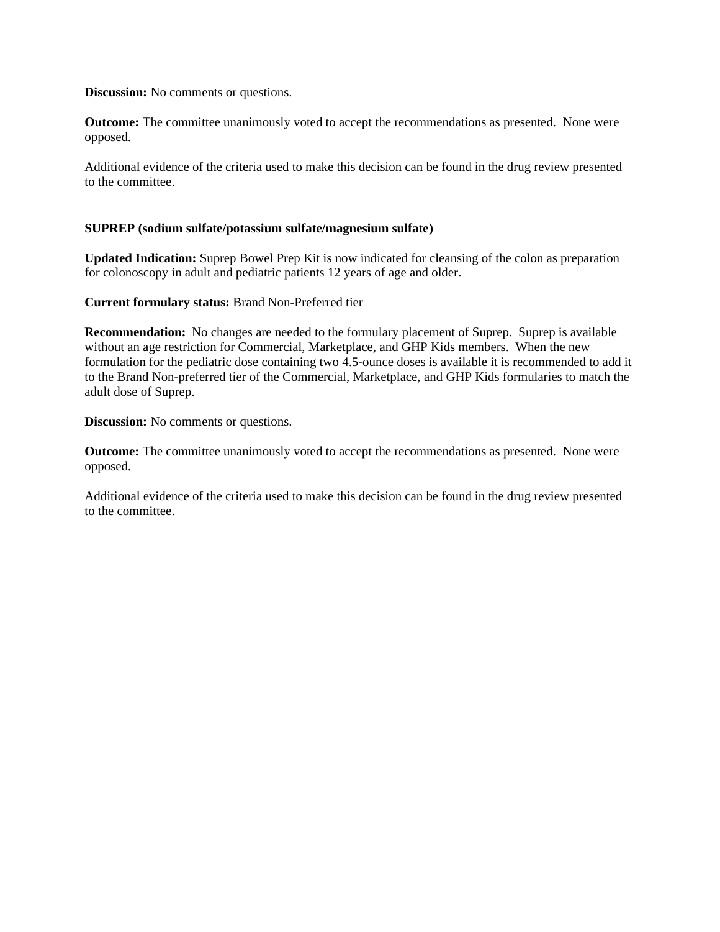**Discussion:** No comments or questions.

**Outcome:** The committee unanimously voted to accept the recommendations as presented. None were opposed.

Additional evidence of the criteria used to make this decision can be found in the drug review presented to the committee.

### **SUPREP (sodium sulfate/potassium sulfate/magnesium sulfate)**

**Updated Indication:** Suprep Bowel Prep Kit is now indicated for cleansing of the colon as preparation for colonoscopy in adult and pediatric patients 12 years of age and older.

**Current formulary status:** Brand Non-Preferred tier

**Recommendation:** No changes are needed to the formulary placement of Suprep. Suprep is available without an age restriction for Commercial, Marketplace, and GHP Kids members. When the new formulation for the pediatric dose containing two 4.5-ounce doses is available it is recommended to add it to the Brand Non-preferred tier of the Commercial, Marketplace, and GHP Kids formularies to match the adult dose of Suprep.

**Discussion:** No comments or questions.

**Outcome:** The committee unanimously voted to accept the recommendations as presented. None were opposed.

Additional evidence of the criteria used to make this decision can be found in the drug review presented to the committee.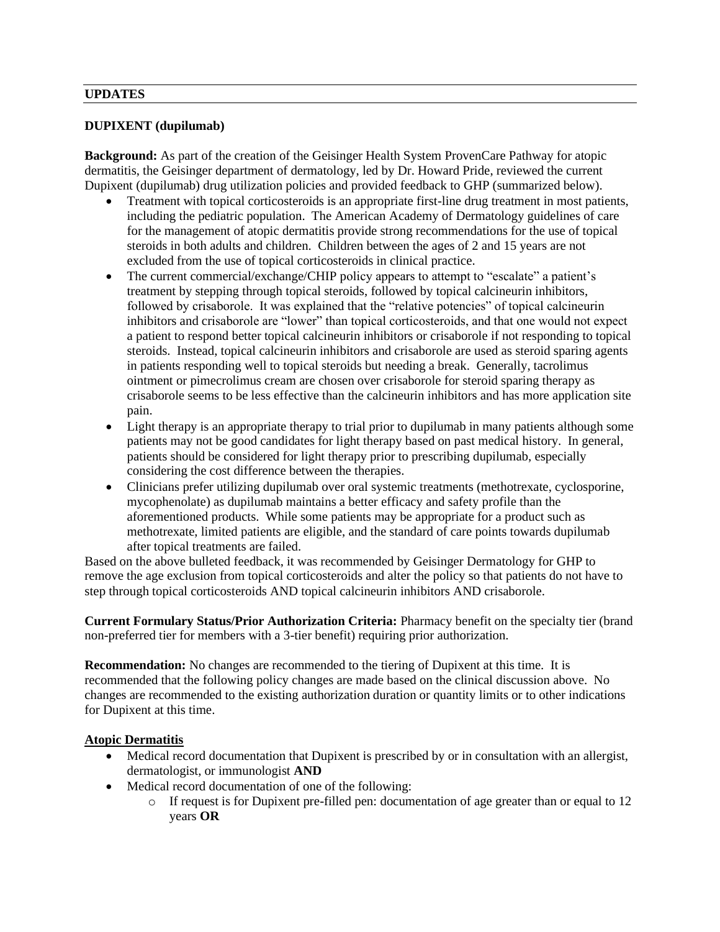### **UPDATES**

## **DUPIXENT (dupilumab)**

**Background:** As part of the creation of the Geisinger Health System ProvenCare Pathway for atopic dermatitis, the Geisinger department of dermatology, led by Dr. Howard Pride, reviewed the current Dupixent (dupilumab) drug utilization policies and provided feedback to GHP (summarized below).

- Treatment with topical corticosteroids is an appropriate first-line drug treatment in most patients, including the pediatric population. The American Academy of Dermatology guidelines of care for the management of atopic dermatitis provide strong recommendations for the use of topical steroids in both adults and children. Children between the ages of 2 and 15 years are not excluded from the use of topical corticosteroids in clinical practice.
- The current commercial/exchange/CHIP policy appears to attempt to "escalate" a patient's treatment by stepping through topical steroids, followed by topical calcineurin inhibitors, followed by crisaborole. It was explained that the "relative potencies" of topical calcineurin inhibitors and crisaborole are "lower" than topical corticosteroids, and that one would not expect a patient to respond better topical calcineurin inhibitors or crisaborole if not responding to topical steroids. Instead, topical calcineurin inhibitors and crisaborole are used as steroid sparing agents in patients responding well to topical steroids but needing a break. Generally, tacrolimus ointment or pimecrolimus cream are chosen over crisaborole for steroid sparing therapy as crisaborole seems to be less effective than the calcineurin inhibitors and has more application site pain.
- Light therapy is an appropriate therapy to trial prior to dupilumab in many patients although some patients may not be good candidates for light therapy based on past medical history. In general, patients should be considered for light therapy prior to prescribing dupilumab, especially considering the cost difference between the therapies.
- Clinicians prefer utilizing dupilumab over oral systemic treatments (methotrexate, cyclosporine, mycophenolate) as dupilumab maintains a better efficacy and safety profile than the aforementioned products. While some patients may be appropriate for a product such as methotrexate, limited patients are eligible, and the standard of care points towards dupilumab after topical treatments are failed.

Based on the above bulleted feedback, it was recommended by Geisinger Dermatology for GHP to remove the age exclusion from topical corticosteroids and alter the policy so that patients do not have to step through topical corticosteroids AND topical calcineurin inhibitors AND crisaborole.

**Current Formulary Status/Prior Authorization Criteria:** Pharmacy benefit on the specialty tier (brand non-preferred tier for members with a 3-tier benefit) requiring prior authorization.

**Recommendation:** No changes are recommended to the tiering of Dupixent at this time. It is recommended that the following policy changes are made based on the clinical discussion above. No changes are recommended to the existing authorization duration or quantity limits or to other indications for Dupixent at this time.

### **Atopic Dermatitis**

- Medical record documentation that Dupixent is prescribed by or in consultation with an allergist, dermatologist, or immunologist **AND**
- Medical record documentation of one of the following:
	- $\circ$  If request is for Dupixent pre-filled pen: documentation of age greater than or equal to 12 years **OR**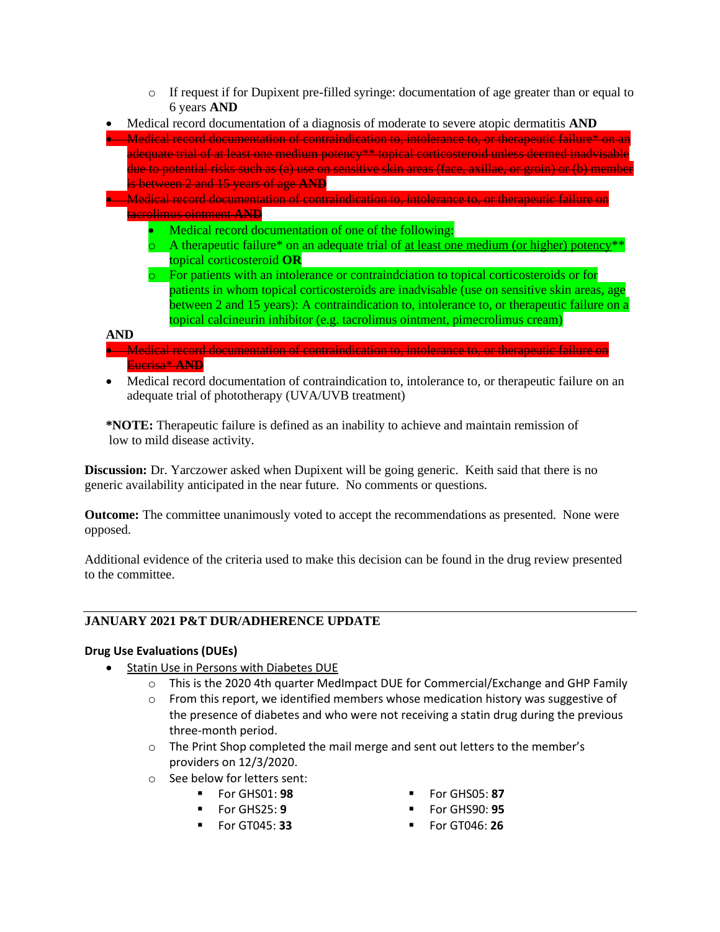$\circ$  If request if for Dupixent pre-filled syringe: documentation of age greater than or equal to 6 years **AND**



• Medical record documentation of contraindication to, intolerance to, or therapeutic failure on an adequate trial of phototherapy (UVA/UVB treatment)

**\*NOTE:** Therapeutic failure is defined as an inability to achieve and maintain remission of low to mild disease activity.

**Discussion:** Dr. Yarczower asked when Dupixent will be going generic. Keith said that there is no generic availability anticipated in the near future. No comments or questions.

**Outcome:** The committee unanimously voted to accept the recommendations as presented. None were opposed.

Additional evidence of the criteria used to make this decision can be found in the drug review presented to the committee.

### **JANUARY 2021 P&T DUR/ADHERENCE UPDATE**

### **Drug Use Evaluations (DUEs)**

- Statin Use in Persons with Diabetes DUE
	- $\circ$  This is the 2020 4th quarter MedImpact DUE for Commercial/Exchange and GHP Family
	- o From this report, we identified members whose medication history was suggestive of the presence of diabetes and who were not receiving a statin drug during the previous three-month period.
	- $\circ$  The Print Shop completed the mail merge and sent out letters to the member's providers on 12/3/2020.
	- o See below for letters sent:
		-
		-
		-
		- For GHS01: **98** For GHS05: **87**
			- For GHS25: **9** For GHS90: **95**
			- For GT045: **33** For GT046: **26**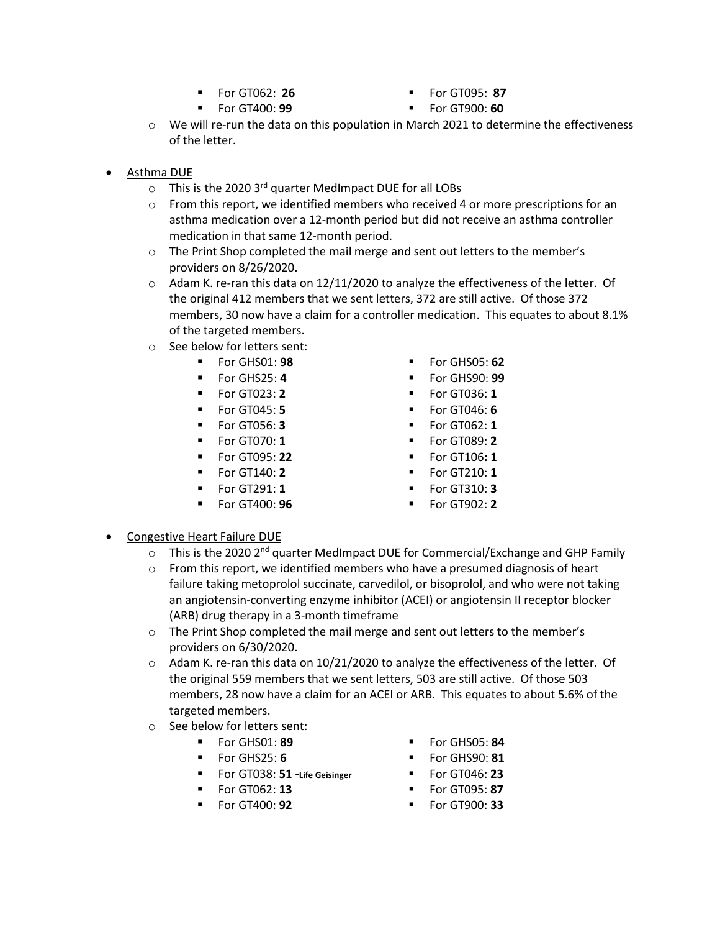- 
- 
- For GT062: **26** For GT095: **87**
- For GT400: **99 ■** For GT900: **60**
- $\circ$  We will re-run the data on this population in March 2021 to determine the effectiveness of the letter.
- Asthma DUE
	- o This is the 2020 3rd quarter MedImpact DUE for all LOBs
	- $\circ$  From this report, we identified members who received 4 or more prescriptions for an asthma medication over a 12-month period but did not receive an asthma controller medication in that same 12-month period.
	- o The Print Shop completed the mail merge and sent out letters to the member's providers on 8/26/2020.
	- $\circ$  Adam K. re-ran this data on 12/11/2020 to analyze the effectiveness of the letter. Of the original 412 members that we sent letters, 372 are still active. Of those 372 members, 30 now have a claim for a controller medication. This equates to about 8.1% of the targeted members.
	- o See below for letters sent:
		- -
			-
			-
			-
			-
			-
			- For GT140: **2**
			- For GT291: **1**
			- For GT400: **96**
- For GHS01: **98** For GHS05: **62**
- For GHS25: 4  **For GHS90: 99**
- For GT023: **2** For GT036: **1**
- For GT045: **5** For GT046: **6** 
	- For GT056: **3** For GT062: **1**
	- **For GT070: 1 Property For GT089: <b>2**
	- For GT095: **22** For GT106**: 1**
		- For GT210: **1**
		- For GT310: **3**
		- For GT902: **2**

- Congestive Heart Failure DUE
	- $\circ$  This is the 2020 2<sup>nd</sup> quarter MedImpact DUE for Commercial/Exchange and GHP Family
	- $\circ$  From this report, we identified members who have a presumed diagnosis of heart failure taking metoprolol succinate, carvedilol, or bisoprolol, and who were not taking an angiotensin-converting enzyme inhibitor (ACEI) or angiotensin II receptor blocker (ARB) drug therapy in a 3-month timeframe
	- o The Print Shop completed the mail merge and sent out letters to the member's providers on 6/30/2020.
	- $\circ$  Adam K. re-ran this data on 10/21/2020 to analyze the effectiveness of the letter. Of the original 559 members that we sent letters, 503 are still active. Of those 503 members, 28 now have a claim for an ACEI or ARB. This equates to about 5.6% of the targeted members.
	- o See below for letters sent:
		-
		- For GHS25: **6** For GHS90: **81**
		- For GT038: **51 -Life Geisinger**
		- For GT062: **13**
		-
		- For GHS01: **89** For GHS05: **84** 
			-
			- For GT046: **23**
			- For GT095: **87**
			- For GT400: **92** For GT900: **33**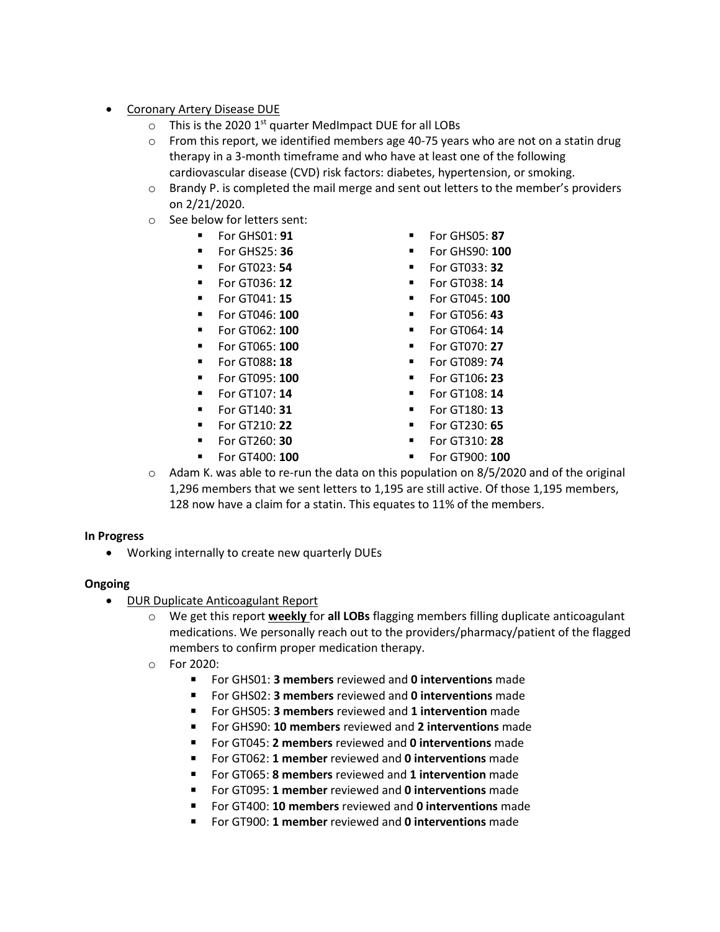- Coronary Artery Disease DUE
	- $\circ$  This is the 2020 1<sup>st</sup> quarter MedImpact DUE for all LOBs
	- $\circ$  From this report, we identified members age 40-75 years who are not on a statin drug therapy in a 3-month timeframe and who have at least one of the following cardiovascular disease (CVD) risk factors: diabetes, hypertension, or smoking.
	- $\circ$  Brandy P. is completed the mail merge and sent out letters to the member's providers on 2/21/2020.
	- o See below for letters sent:
		-
		-
		-
		-
		-
		-
		-
		-
		-
		-
		-
		-
		-
		-
		-
- For GHS01: **91** For GHS05: **87**
- For GHS25: **36 ■** For GHS90: **100** 
	- For GT023: **54** For GT033: **32**
	- **For GT036: 12 Example 12 For GT038: 14**
	- For GT041: **15** For GT045: **100**
	- For GT046: **100** For GT056: **43**
	- For GT062: **100** For GT064: **14**
	- **Example 100 Example 100 T** For GT070: **27**
	- **For GT088: 18 •** For GT089: **74**
	- For GT095: **100** For GT106**: 23**
	- **For GT107: 14 Example 14 For GT108: 14**
	- For GT140: **31** For GT180: **13**
- For GT210: **22** For GT230: **65**
	- For GT260: **30** For GT310: **28**
- For GT400: **100** For GT900: **100**
- $\circ$  Adam K. was able to re-run the data on this population on 8/5/2020 and of the original 1,296 members that we sent letters to 1,195 are still active. Of those 1,195 members, 128 now have a claim for a statin. This equates to 11% of the members.

#### **In Progress**

• Working internally to create new quarterly DUEs

#### **Ongoing**

- DUR Duplicate Anticoagulant Report
	- o We get this report **weekly** for **all LOBs** flagging members filling duplicate anticoagulant medications. We personally reach out to the providers/pharmacy/patient of the flagged members to confirm proper medication therapy.
	- o For 2020:
		- For GHS01: **3 members** reviewed and **0 interventions** made
		- For GHS02: **3 members** reviewed and **0 interventions** made
		- For GHS05: **3 members** reviewed and **1 intervention** made
		- For GHS90: **10 members** reviewed and **2 interventions** made
		- For GT045: **2 members** reviewed and **0 interventions** made
		- For GT062: **1 member** reviewed and **0 interventions** made
		- For GT065: **8 members** reviewed and **1 intervention** made
		- For GT095: **1 member** reviewed and **0 interventions** made
		- For GT400: 10 members reviewed and 0 interventions made
		- For GT900: **1 member** reviewed and **0 interventions** made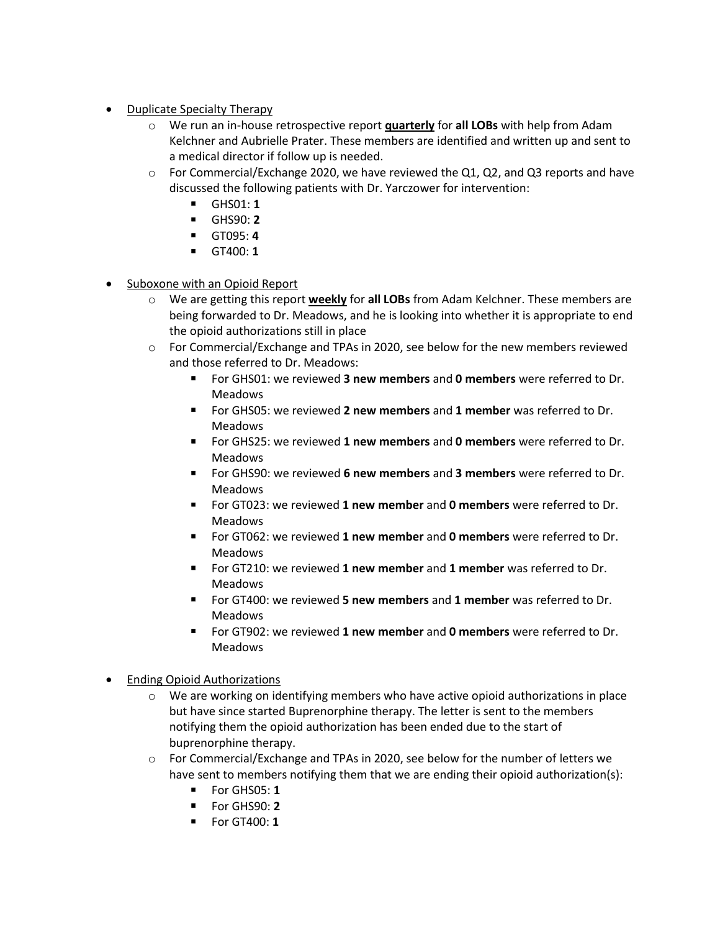- Duplicate Specialty Therapy
	- o We run an in-house retrospective report **quarterly** for **all LOBs** with help from Adam Kelchner and Aubrielle Prater. These members are identified and written up and sent to a medical director if follow up is needed.
	- o For Commercial/Exchange 2020, we have reviewed the Q1, Q2, and Q3 reports and have discussed the following patients with Dr. Yarczower for intervention:
		- GHS01: **1**
		- GHS90: **2**
		- GT095: **4**
		- GT400: **1**
- Suboxone with an Opioid Report
	- o We are getting this report **weekly** for **all LOBs** from Adam Kelchner. These members are being forwarded to Dr. Meadows, and he is looking into whether it is appropriate to end the opioid authorizations still in place
	- $\circ$  For Commercial/Exchange and TPAs in 2020, see below for the new members reviewed and those referred to Dr. Meadows:
		- For GHS01: we reviewed **3 new members** and **0 members** were referred to Dr. Meadows
		- For GHS05: we reviewed **2 new members** and **1 member** was referred to Dr. Meadows
		- For GHS25: we reviewed **1 new members** and **0 members** were referred to Dr. Meadows
		- For GHS90: we reviewed **6 new members** and **3 members** were referred to Dr. Meadows
		- For GT023: we reviewed **1 new member** and **0 members** were referred to Dr. Meadows
		- For GT062: we reviewed **1 new member** and **0 members** were referred to Dr. Meadows
		- For GT210: we reviewed **1 new member** and **1 member** was referred to Dr. Meadows
		- For GT400: we reviewed **5 new members** and **1 member** was referred to Dr. Meadows
		- For GT902: we reviewed **1 new member** and **0 members** were referred to Dr. Meadows
- Ending Opioid Authorizations
	- o We are working on identifying members who have active opioid authorizations in place but have since started Buprenorphine therapy. The letter is sent to the members notifying them the opioid authorization has been ended due to the start of buprenorphine therapy.
	- $\circ$  For Commercial/Exchange and TPAs in 2020, see below for the number of letters we have sent to members notifying them that we are ending their opioid authorization(s):
		- For GHS05: **1**
		- For GHS90: **2**
		- For GT400: **1**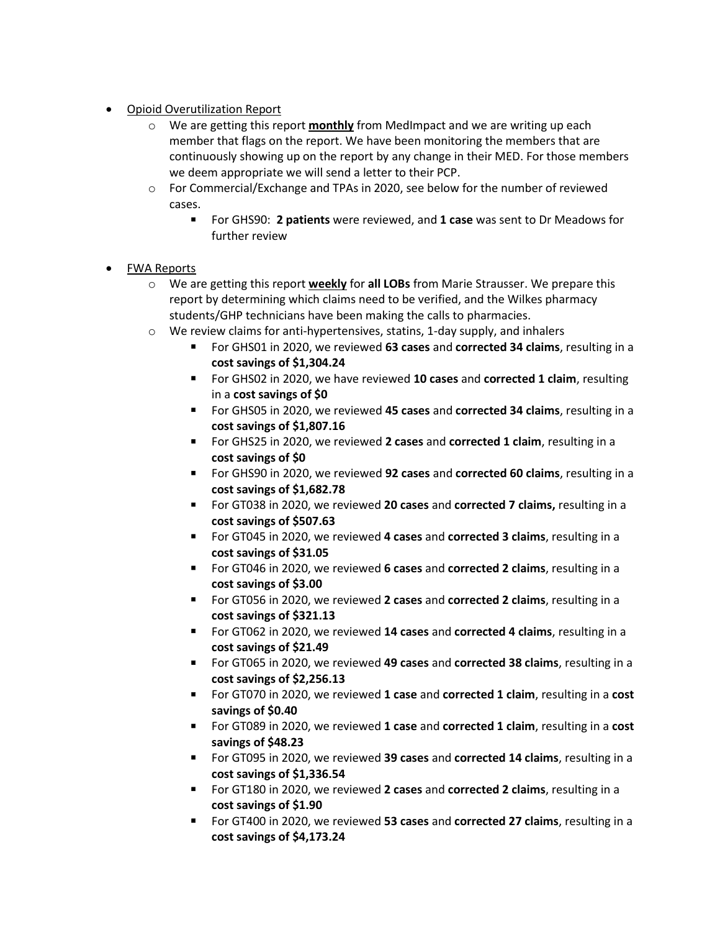- Opioid Overutilization Report
	- o We are getting this report **monthly** from MedImpact and we are writing up each member that flags on the report. We have been monitoring the members that are continuously showing up on the report by any change in their MED. For those members we deem appropriate we will send a letter to their PCP.
	- o For Commercial/Exchange and TPAs in 2020, see below for the number of reviewed cases.
		- For GHS90: 2 patients were reviewed, and 1 case was sent to Dr Meadows for further review
- FWA Reports
	- o We are getting this report **weekly** for **all LOBs** from Marie Strausser. We prepare this report by determining which claims need to be verified, and the Wilkes pharmacy students/GHP technicians have been making the calls to pharmacies.
	- $\circ$  We review claims for anti-hypertensives, statins, 1-day supply, and inhalers
		- For GHS01 in 2020, we reviewed **63 cases** and **corrected 34 claims**, resulting in a **cost savings of \$1,304.24**
		- For GHS02 in 2020, we have reviewed **10 cases** and **corrected 1 claim**, resulting in a **cost savings of \$0**
		- For GHS05 in 2020, we reviewed 45 cases and **corrected 34 claims**, resulting in a **cost savings of \$1,807.16**
		- For GHS25 in 2020, we reviewed 2 cases and corrected 1 claim, resulting in a **cost savings of \$0**
		- For GHS90 in 2020, we reviewed **92 cases** and **corrected 60 claims**, resulting in a **cost savings of \$1,682.78**
		- For GT038 in 2020, we reviewed 20 cases and corrected 7 claims, resulting in a **cost savings of \$507.63**
		- For GT045 in 2020, we reviewed 4 cases and corrected 3 claims, resulting in a **cost savings of \$31.05**
		- For GT046 in 2020, we reviewed 6 cases and corrected 2 claims, resulting in a **cost savings of \$3.00**
		- For GT056 in 2020, we reviewed **2 cases** and **corrected 2 claims**, resulting in a **cost savings of \$321.13**
		- For GT062 in 2020, we reviewed 14 cases and corrected 4 claims, resulting in a **cost savings of \$21.49**
		- For GT065 in 2020, we reviewed **49 cases** and **corrected 38 claims**, resulting in a **cost savings of \$2,256.13**
		- For GT070 in 2020, we reviewed **1 case** and **corrected 1 claim**, resulting in a **cost savings of \$0.40**
		- For GT089 in 2020, we reviewed 1 case and corrected 1 claim, resulting in a cost **savings of \$48.23**
		- For GT095 in 2020, we reviewed 39 cases and corrected 14 claims, resulting in a **cost savings of \$1,336.54**
		- For GT180 in 2020, we reviewed 2 cases and corrected 2 claims, resulting in a **cost savings of \$1.90**
		- For GT400 in 2020, we reviewed 53 cases and corrected 27 claims, resulting in a **cost savings of \$4,173.24**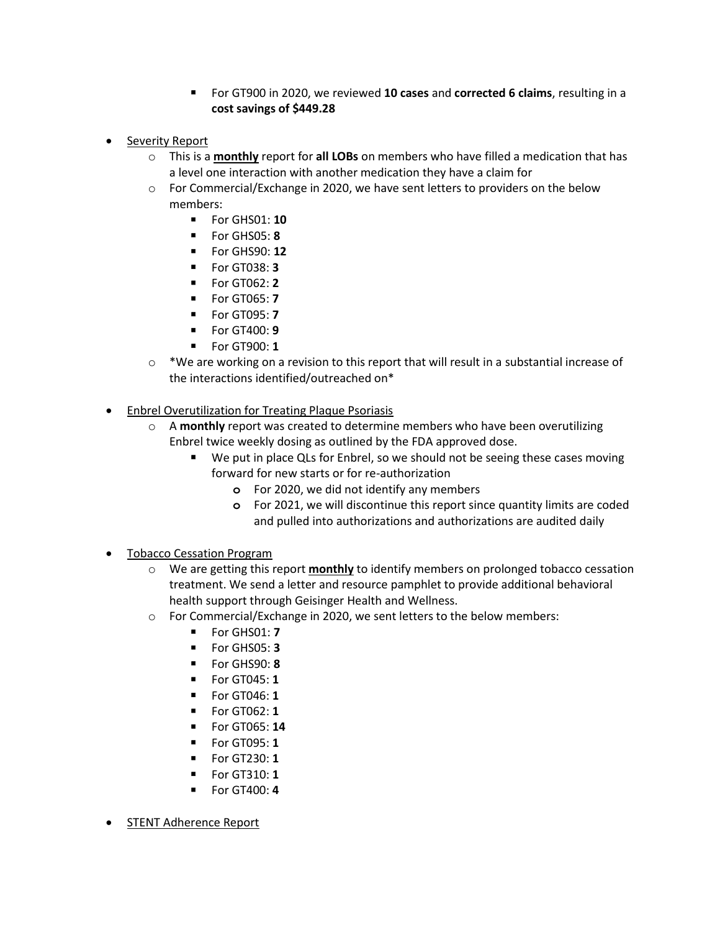- For GT900 in 2020, we reviewed **10 cases** and **corrected 6 claims**, resulting in a **cost savings of \$449.28**
- Severity Report
	- o This is a **monthly** report for **all LOBs** on members who have filled a medication that has a level one interaction with another medication they have a claim for
	- $\circ$  For Commercial/Exchange in 2020, we have sent letters to providers on the below members:
		- For GHS01: **10**
		- For GHS05: **8**
		- For GHS90: **12**
		- For GT038: **3**
		- For GT062: **2**
		- For GT065: **7**
		- For GT095: **7**
		- For GT400: **9**
		- For GT900: **1**
	- $\circ$  \*We are working on a revision to this report that will result in a substantial increase of the interactions identified/outreached on\*
- Enbrel Overutilization for Treating Plaque Psoriasis
	- o A **monthly** report was created to determine members who have been overutilizing Enbrel twice weekly dosing as outlined by the FDA approved dose.
		- We put in place QLs for Enbrel, so we should not be seeing these cases moving forward for new starts or for re-authorization
			- **o** For 2020, we did not identify any members
			- **o** For 2021, we will discontinue this report since quantity limits are coded and pulled into authorizations and authorizations are audited daily
- **Tobacco Cessation Program** 
	- o We are getting this report **monthly** to identify members on prolonged tobacco cessation treatment. We send a letter and resource pamphlet to provide additional behavioral health support through Geisinger Health and Wellness.
	- $\circ$  For Commercial/Exchange in 2020, we sent letters to the below members:
		- For GHS01: **7**
		- For GHS05: **3**
		- For GHS90: **8**
		- For GT045: **1**
		- For GT046: **1**
		- For GT062: **1**
		- For GT065: **14**
		- For GT095: **1**
		- For GT230: **1**
		- For GT310: **1**
		- For GT400: **4**
- STENT Adherence Report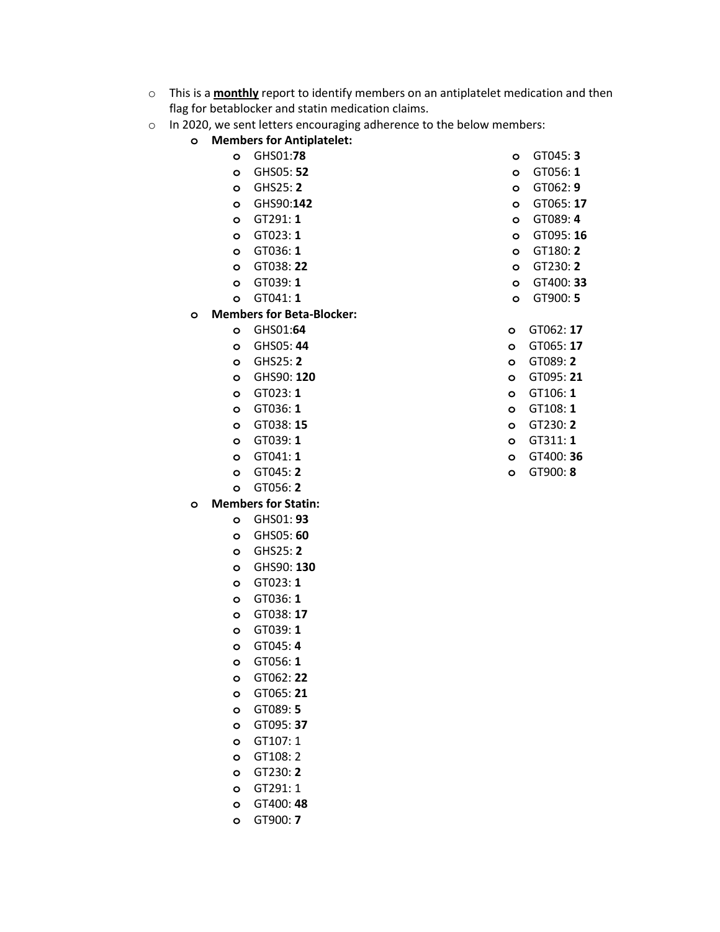- o This is a **monthly** report to identify members on an antiplatelet medication and then flag for betablocker and statin medication claims.
- o In 2020, we sent letters encouraging adherence to the below members:
	- **o Members for Antiplatelet:**
		- **o** GHS01:**78**
		- **o** GHS05: **52 o** GHS25: **2**
		- **o** GHS90:**142**
		- **o** GT291: **1**
		- **o** GT023: **1**
		- **o** GT036: **1**
		- **o** GT038: **22**
		- **o** GT039: **1**
		- **o** GT041: **1**
	- **o Members for Beta-Blocker:**
		- **o** GHS01:**64**
		- **o** GHS05: **44**
		- **o** GHS25: **2**
		- **o** GHS90: **120**
		- **o** GT023: **1**
		- **o** GT036: **1**
		- **o** GT038: **15**
		- **o** GT039: **1**
		- **o** GT041: **1**
		- **o** GT045: **2**
		- **o** GT056: **2**
	- **o Members for Statin:**
		- **o** GHS01: **93**
		- **o** GHS05: **60**
		- **o** GHS25: **2**
		- **o** GHS90: **130**
		- **o** GT023: **1**
		- **o** GT036: **1**
		- **o** GT038: **17**
		- **o** GT039: **1**
		- **o** GT045: **4**
		- **o** GT056: **1**
		- **o** GT062: **22**
		- **o** GT065: **21**
		- **o** GT089: **5**
		- **o** GT095: **37**
		- **o** GT107: 1
		- **o** GT108: 2
		- **o** GT230: **2**
		- **o** GT291: 1
		- **o** GT400: **48**
		- **o** GT900: **7**

**o** GT062: **9 o** GT065: **17 o** GT089: **4 o** GT095: **16 o** GT180: **2 o** GT230: **2 o** GT400: **33 o** GT900: **5**

**o** GT045: **3 o** GT056: **1**

- **o** GT062: **17**
- **o** GT065: **17**
- **o** GT089: **2**
- **o** GT095: **21**
- **o** GT106: **1**
- **o** GT108: **1**
- **o** GT230: **2**
- **o** GT311: **1**
- **o** GT400: **36**
- **o** GT900: **8**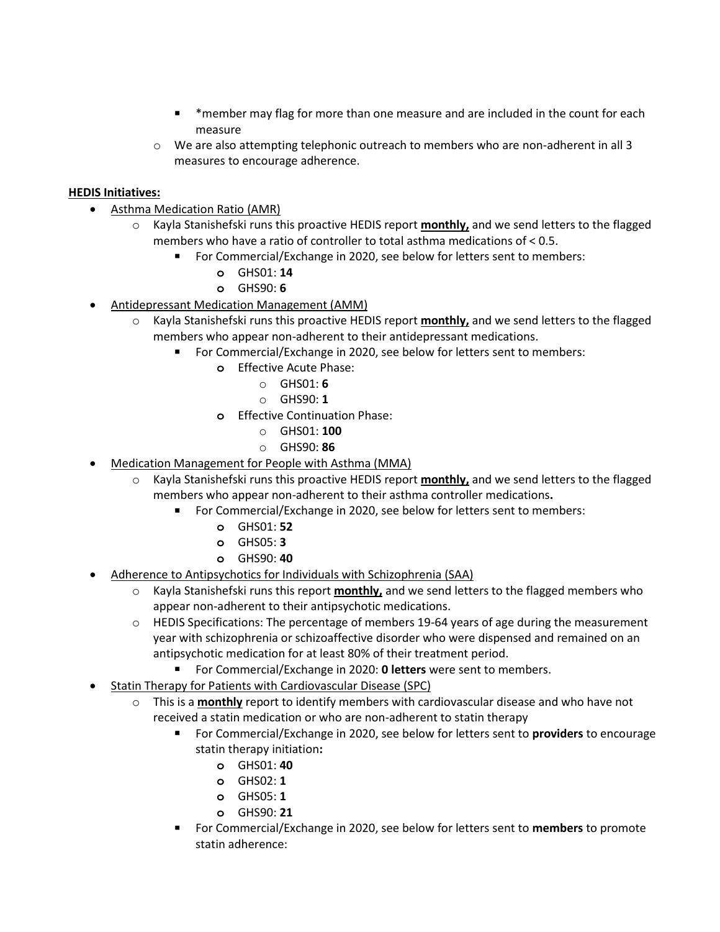- \*member may flag for more than one measure and are included in the count for each measure
- $\circ$  We are also attempting telephonic outreach to members who are non-adherent in all 3 measures to encourage adherence.

## **HEDIS Initiatives:**

- Asthma Medication Ratio (AMR)
	- o Kayla Stanishefski runs this proactive HEDIS report **monthly,** and we send letters to the flagged members who have a ratio of controller to total asthma medications of < 0.5.
		- For Commercial/Exchange in 2020, see below for letters sent to members:
			- **o** GHS01: **14**
			- **o** GHS90: **6**
- Antidepressant Medication Management (AMM)
	- o Kayla Stanishefski runs this proactive HEDIS report **monthly,** and we send letters to the flagged members who appear non-adherent to their antidepressant medications.
		- For Commercial/Exchange in 2020, see below for letters sent to members:
			- **o** Effective Acute Phase:
				- o GHS01: **6**
				- o GHS90: **1**
			- **o** Effective Continuation Phase:
				- o GHS01: **100**
				- o GHS90: **86**
- Medication Management for People with Asthma (MMA)
	- o Kayla Stanishefski runs this proactive HEDIS report **monthly,** and we send letters to the flagged members who appear non-adherent to their asthma controller medications**.**
		- For Commercial/Exchange in 2020, see below for letters sent to members:
			- **o** GHS01: **52**
			- **o** GHS05: **3**
			- **o** GHS90: **40**
- Adherence to Antipsychotics for Individuals with Schizophrenia (SAA)
	- o Kayla Stanishefski runs this report **monthly,** and we send letters to the flagged members who appear non-adherent to their antipsychotic medications.
	- $\circ$  HEDIS Specifications: The percentage of members 19-64 years of age during the measurement year with schizophrenia or schizoaffective disorder who were dispensed and remained on an antipsychotic medication for at least 80% of their treatment period.
		- For Commercial/Exchange in 2020: **0 letters** were sent to members.
- Statin Therapy for Patients with Cardiovascular Disease (SPC)
	- o This is a **monthly** report to identify members with cardiovascular disease and who have not received a statin medication or who are non-adherent to statin therapy
		- For Commercial/Exchange in 2020, see below for letters sent to **providers** to encourage statin therapy initiation**:**
			- **o** GHS01: **40**
			- **o** GHS02: **1**
			- **o** GHS05: **1**
			- **o** GHS90: **21**
		- For Commercial/Exchange in 2020, see below for letters sent to **members** to promote statin adherence: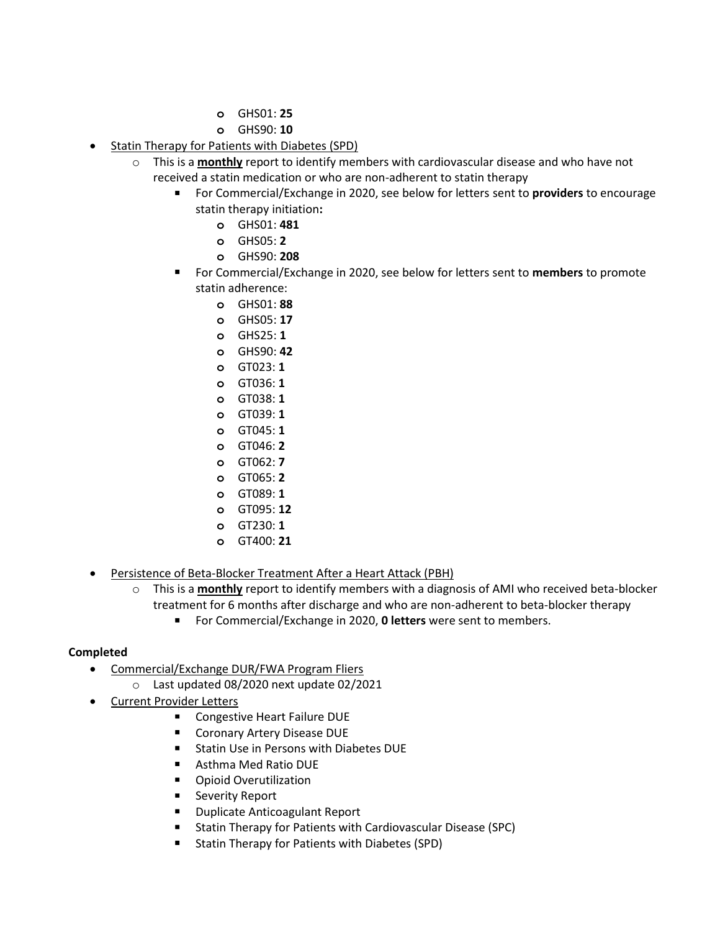- **o** GHS01: **25**
- **o** GHS90: **10**
- Statin Therapy for Patients with Diabetes (SPD)
	- o This is a **monthly** report to identify members with cardiovascular disease and who have not received a statin medication or who are non-adherent to statin therapy
		- For Commercial/Exchange in 2020, see below for letters sent to **providers** to encourage statin therapy initiation**:**
			- **o** GHS01: **481**
				- **o** GHS05: **2**
				- **o** GHS90: **208**
		- For Commercial/Exchange in 2020, see below for letters sent to **members** to promote statin adherence:
			- **o** GHS01: **88**
			- **o** GHS05: **17**
			- **o** GHS25: **1**
			- **o** GHS90: **42**
			- **o** GT023: **1**
			- **o** GT036: **1**
			- **o** GT038: **1**
			- **o** GT039: **1**
			- **o** GT045: **1**
			- **o** GT046: **2**
			- **o** GT062: **7**
			- **o** GT065: **2**
			- **o** GT089: **1**
			- **o** GT095: **12**
			- **o** GT230: **1**
			- **o** GT400: **21**
- Persistence of Beta-Blocker Treatment After a Heart Attack (PBH)
	- o This is a **monthly** report to identify members with a diagnosis of AMI who received beta-blocker treatment for 6 months after discharge and who are non-adherent to beta-blocker therapy
		- For Commercial/Exchange in 2020, **0 letters** were sent to members.

### **Completed**

- Commercial/Exchange DUR/FWA Program Fliers
	- o Last updated 08/2020 next update 02/2021
- Current Provider Letters
	- Congestive Heart Failure DUE
	- Coronary Artery Disease DUE
	- Statin Use in Persons with Diabetes DUE
	- Asthma Med Ratio DUE
	- Opioid Overutilization
	- Severity Report
	- Duplicate Anticoagulant Report
	- Statin Therapy for Patients with Cardiovascular Disease (SPC)
	- Statin Therapy for Patients with Diabetes (SPD)